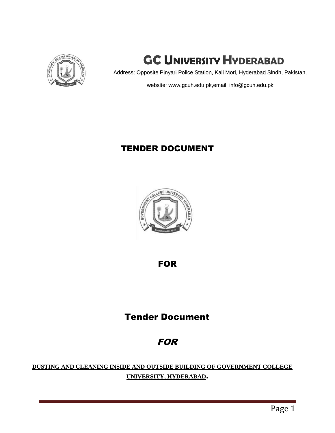

# **GC UNIVERSITY HYDERABAD**

Address: Opposite Pinyari Police Station, Kali Mori, Hyderabad Sindh, Pakistan.

website: www.gcuh.edu.pk,email: info@gcuh.edu.pk

## TENDER DOCUMENT



FOR

# Tender Document

# FOR

**DUSTING AND CLEANING INSIDE AND OUTSIDE BUILDING OF GOVERNMENT COLLEGE UNIVERSITY, HYDERABAD.**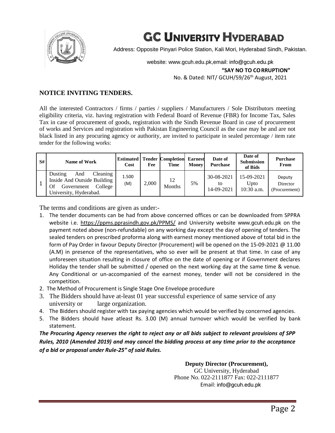

# **GC UNIVERSITY HYDERABAD**

Address: Opposite Pinyari Police Station, Kali Mori, Hyderabad Sindh, Pakistan.

website: www.gcuh.edu.pk,email: info@gcuh.edu.pk No. & Dated: NIT/ GCUH/59/26<sup>th</sup> August, 2021 **"SAY NO TO CORRUPTION"**

### **NOTICE INVITING TENDERS.**

All the interested Contractors / firms / parties / suppliers / Manufacturers / Sole Distributors meeting eligibility criteria, viz. having registration with Federal Board of Revenue (FBR) for Income Tax, Sales Tax in case of procurement of goods, registration with the Sindh Revenue Board in case of procurement of works and Services and registration with Pakistan Engineering Council as the case may be and are not black listed in any procuring agency or authority, are invited to participate in sealed percentage / item rate tender for the following works:

| S# | Name of Work                                                                                                       | Cost         | Fee   | <b>Estimated   Tender Completion</b><br><b>Time</b> | <b>Earnest</b><br><b>Money</b> | Date of<br><b>Purchase</b>     | Date of<br><b>Submission</b><br>of Bids | <b>Purchase</b><br>From             |
|----|--------------------------------------------------------------------------------------------------------------------|--------------|-------|-----------------------------------------------------|--------------------------------|--------------------------------|-----------------------------------------|-------------------------------------|
|    | And<br>Cleaning<br>Dusting<br>Inside And Outside Building<br>Government<br>College<br>Of<br>University, Hyderabad. | 1.500<br>(M) | 2.000 | 12<br><b>Months</b>                                 | 5%                             | 30-08-2021<br>to<br>14-09-2021 | 15-09-2021<br>Upto<br>$10:30$ a.m.      | Deputy<br>Director<br>(Procurement) |

The terms and conditions are given as under:-

- 1. The tender documents can be had from above concerned offices or can be downloaded from SPPRA website i.e. https://ppms.pprasindh.gov.pk/PPMS/ and University website www.gcuh.edu.pk on the payment noted above (non-refundable) on any working day except the day of opening of tenders. The sealed tenders on prescribed proforma along with earnest money mentioned above of total bid in the form of Pay Order in favour Deputy Director (Procurement) will be opened on the 15-09-2021 @ 11.00 (A.M) in presence of the representatives, who so ever will be present at that time. In case of any unforeseen situation resulting in closure of office on the date of opening or if Government declares Holiday the tender shall be submitted / opened on the next working day at the same time & venue. Any Conditional or un-accompanied of the earnest money, tender will not be considered in the competition.
- 2. The Method of Procurement is Single Stage One Envelope procedure
- 3. The Bidders should have at-least 01 year successful experience of same service of any university or large organization.
- 4. The Bidders should register with tax paying agencies which would be verified by concerned agencies.
- 5. The Bidders should have atleast Rs. 3.00 (M) annual turnover which would be verified by bank statement.

*The Procuring Agency reserves the right to reject any or all bids subject to relevant provisions of SPP Rules, 2010 (Amended 2019) and may cancel the bidding process at any time prior to the acceptance of a bid or proposal under Rule-25" of said Rules.*

**Deputy Director (Procurement),**

GC University, Hyderabad Phone No. 022-2111877 Fax: 022-2111877 Email: info@gcuh.edu.pk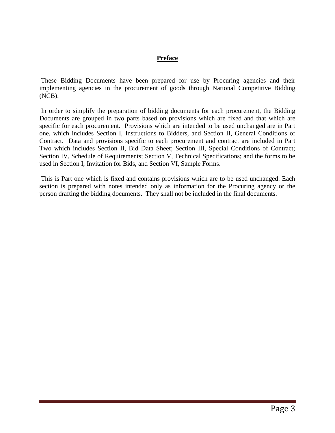### **Preface**

These Bidding Documents have been prepared for use by Procuring agencies and their implementing agencies in the procurement of goods through National Competitive Bidding (NCB).

In order to simplify the preparation of bidding documents for each procurement, the Bidding Documents are grouped in two parts based on provisions which are fixed and that which are specific for each procurement. Provisions which are intended to be used unchanged are in Part one, which includes Section I, Instructions to Bidders, and Section II, General Conditions of Contract. Data and provisions specific to each procurement and contract are included in Part Two which includes Section II, Bid Data Sheet; Section III, Special Conditions of Contract; Section IV, Schedule of Requirements; Section V, Technical Specifications; and the forms to be used in Section I, Invitation for Bids, and Section VI, Sample Forms.

This is Part one which is fixed and contains provisions which are to be used unchanged. Each section is prepared with notes intended only as information for the Procuring agency or the person drafting the bidding documents. They shall not be included in the final documents.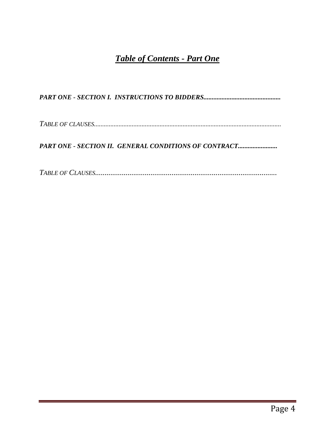## *Table of Contents - Part One*

*PART ONE - SECTION I. INSTRUCTIONS TO BIDDERS...............................................* 

*TABLE OF CLAUSES..................................................................................................................* 

*PART ONE - SECTION II. GENERAL CONDITIONS OF CONTRACT........................* 

*TABLE OF CLAUSES...............................................................................................*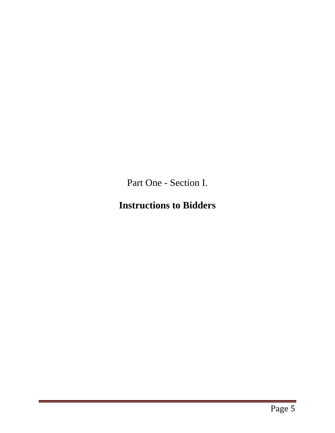Part One - Section I.

# **Instructions to Bidders**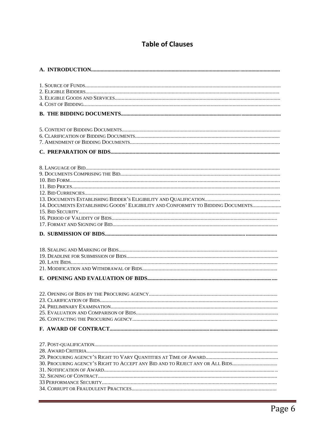### **Table of Clauses**

| 14. DOCUMENTS ESTABLISHING GOODS' ELIGIBILITY AND CONFORMITY TO BIDDING DOCUMENTS |
|-----------------------------------------------------------------------------------|
|                                                                                   |
|                                                                                   |
|                                                                                   |
|                                                                                   |
|                                                                                   |
|                                                                                   |
| 30. PROCURING AGENCY'S RIGHT TO ACCEPT ANY BID AND TO REJECT ANY OR ALL BIDS      |
|                                                                                   |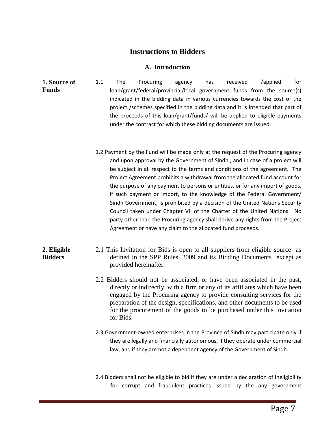### **Instructions to Bidders**

### **A. Introduction**

- **1. Source of Funds**  1.1 The Procuring agency has received /applied for loan/grant/federal/provincial/local government funds from the source(s) indicated in the bidding data in various currencies towards the cost of the project /schemes specified in the bidding data and it is intended that part of the proceeds of this loan/grant/funds/ will be applied to eligible payments under the contract for which these bidding documents are issued.
	- 1.2 Payment by the Fund will be made only at the request of the Procuring agency and upon approval by the Government of Sindh., and in case of a project will be subject in all respect to the terms and conditions of the agreement. The Project Agreement prohibits a withdrawal from the allocated fund account for the purpose of any payment to persons or entities, or for any import of goods, if such payment or import, to the knowledge of the Federal Government/ Sindh Government, is prohibited by a decision of the United Nations Security Council taken under Chapter VII of the Charter of the United Nations. No party other than the Procuring agency shall derive any rights from the Project Agreement or have any claim to the allocated fund proceeds.

#### **2. Eligible Bidders**  2.1 This Invitation for Bids is open to all suppliers from eligible source as defined in the SPP Rules, 2009 and its Bidding Documents except as provided hereinafter.

- 2.2 Bidders should not be associated, or have been associated in the past, directly or indirectly, with a firm or any of its affiliates which have been engaged by the Procuring agency to provide consulting services for the preparation of the design, specifications, and other documents to be used for the procurement of the goods to be purchased under this Invitation for Bids.
- 2.3 Government-owned enterprises in the Province of Sindh may participate only if they are legally and financially autonomous, if they operate under commercial law, and if they are not a dependent agency of the Government of Sindh.
- 2.4 Bidders shall not be eligible to bid if they are under a declaration of ineligibility for corrupt and fraudulent practices issued by the any government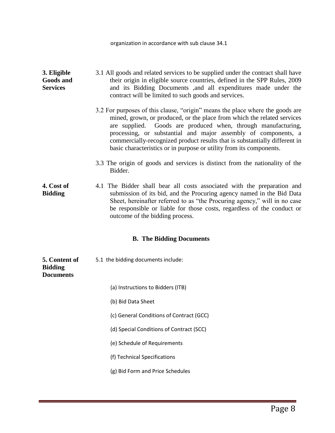#### **3. Eligible Goods and Services**  3.1 All goods and related services to be supplied under the contract shall have their origin in eligible source countries, defined in the SPP Rules, 2009 and its Bidding Documents ,and all expenditures made under the contract will be limited to such goods and services.

3.2 For purposes of this clause, "origin" means the place where the goods are mined, grown, or produced, or the place from which the related services are supplied. Goods are produced when, through manufacturing, processing, or substantial and major assembly of components, a commercially-recognized product results that is substantially different in basic characteristics or in purpose or utility from its components.

3.3 The origin of goods and services is distinct from the nationality of the Bidder.

#### **4. Cost of Bidding**  4.1 The Bidder shall bear all costs associated with the preparation and submission of its bid, and the Procuring agency named in the Bid Data Sheet, hereinafter referred to as "the Procuring agency," will in no case be responsible or liable for those costs, regardless of the conduct or outcome of the bidding process.

### **B. The Bidding Documents**

| 5. Content of<br><b>Bidding</b><br><b>Documents</b> | 5.1 the bidding documents include:       |
|-----------------------------------------------------|------------------------------------------|
|                                                     | (a) Instructions to Bidders (ITB)        |
|                                                     | (b) Bid Data Sheet                       |
|                                                     | (c) General Conditions of Contract (GCC) |
|                                                     | (d) Special Conditions of Contract (SCC) |
|                                                     | (e) Schedule of Requirements             |
|                                                     | (f) Technical Specifications             |
|                                                     | (g) Bid Form and Price Schedules         |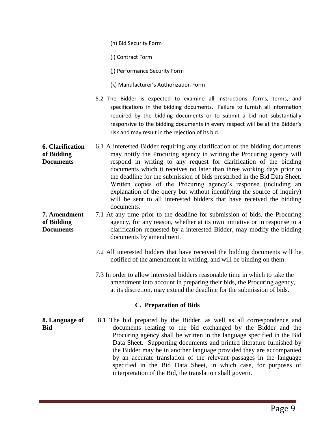(h) Bid Security Form

(i) Contract Form

(j) Performance Security Form

- (k) Manufacturer's Authorization Form
- 5.2 The Bidder is expected to examine all instructions, forms, terms, and specifications in the bidding documents. Failure to furnish all information required by the bidding documents or to submit a bid not substantially responsive to the bidding documents in every respect will be at the Bidder's risk and may result in the rejection of its bid.
- **6. Clarification of Bidding Documents**  6.1 A interested Bidder requiring any clarification of the bidding documents may notify the Procuring agency in writing.the Procuring agency will respond in writing to any request for clarification of the bidding documents which it receives no later than three working days prior to the deadline for the submission of bids prescribed in the Bid Data Sheet. Written copies of the Procuring agency's response (including an explanation of the query but without identifying the source of inquiry) will be sent to all interested bidders that have received the bidding documents.
- **7. Amendment of Bidding Documents**  7.1 At any time prior to the deadline for submission of bids, the Procuring agency, for any reason, whether at its own initiative or in response to a clarification requested by a interested Bidder, may modify the bidding documents by amendment.
	- 7.2 All interested bidders that have received the bidding documents will be notified of the amendment in writing, and will be binding on them.
	- 7.3 In order to allow interested bidders reasonable time in which to take the amendment into account in preparing their bids, the Procuring agency, at its discretion, may extend the deadline for the submission of bids.

### **C. Preparation of Bids**

**8. Language of Bid**  8.1 The bid prepared by the Bidder, as well as all correspondence and documents relating to the bid exchanged by the Bidder and the Procuring agency shall be written in the language specified in the Bid Data Sheet. Supporting documents and printed literature furnished by the Bidder may be in another language provided they are accompanied by an accurate translation of the relevant passages in the language specified in the Bid Data Sheet, in which case, for purposes of interpretation of the Bid, the translation shall govern.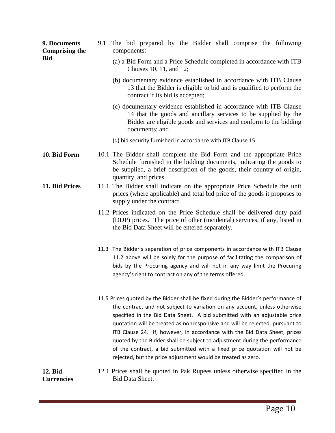| 9. Documents<br><b>Comprising the</b> | 9.1 The bid prepared by the Bidder shall comprise the following<br>components:                                                                                                                                                                                                                                                                                                                                                                                                                                                                                                                                                        |  |  |  |  |  |  |  |  |
|---------------------------------------|---------------------------------------------------------------------------------------------------------------------------------------------------------------------------------------------------------------------------------------------------------------------------------------------------------------------------------------------------------------------------------------------------------------------------------------------------------------------------------------------------------------------------------------------------------------------------------------------------------------------------------------|--|--|--|--|--|--|--|--|
| <b>Bid</b>                            | (a) a Bid Form and a Price Schedule completed in accordance with ITB<br>Clauses 10, 11, and 12;                                                                                                                                                                                                                                                                                                                                                                                                                                                                                                                                       |  |  |  |  |  |  |  |  |
|                                       | (b) documentary evidence established in accordance with ITB Clause<br>13 that the Bidder is eligible to bid and is qualified to perform the<br>contract if its bid is accepted;                                                                                                                                                                                                                                                                                                                                                                                                                                                       |  |  |  |  |  |  |  |  |
|                                       | (c) documentary evidence established in accordance with ITB Clause<br>14 that the goods and ancillary services to be supplied by the<br>Bidder are eligible goods and services and conform to the bidding<br>documents; and                                                                                                                                                                                                                                                                                                                                                                                                           |  |  |  |  |  |  |  |  |
|                                       | (d) bid security furnished in accordance with ITB Clause 15.                                                                                                                                                                                                                                                                                                                                                                                                                                                                                                                                                                          |  |  |  |  |  |  |  |  |
| 10. Bid Form                          | 10.1 The Bidder shall complete the Bid Form and the appropriate Price<br>Schedule furnished in the bidding documents, indicating the goods to<br>be supplied, a brief description of the goods, their country of origin,<br>quantity, and prices.                                                                                                                                                                                                                                                                                                                                                                                     |  |  |  |  |  |  |  |  |
| 11. Bid Prices                        | 11.1 The Bidder shall indicate on the appropriate Price Schedule the unit<br>prices (where applicable) and total bid price of the goods it proposes to<br>supply under the contract.                                                                                                                                                                                                                                                                                                                                                                                                                                                  |  |  |  |  |  |  |  |  |
|                                       | 11.2 Prices indicated on the Price Schedule shall be delivered duty paid<br>(DDP) prices. The price of other (incidental) services, if any, listed in<br>the Bid Data Sheet will be entered separately.                                                                                                                                                                                                                                                                                                                                                                                                                               |  |  |  |  |  |  |  |  |
|                                       | 11.3 The Bidder's separation of price components in accordance with ITB Clause<br>11.2 above will be solely for the purpose of facilitating the comparison of<br>bids by the Procuring agency and will not in any way limit the Procuring<br>agency's right to contract on any of the terms offered.                                                                                                                                                                                                                                                                                                                                  |  |  |  |  |  |  |  |  |
|                                       | 11.5 Prices quoted by the Bidder shall be fixed during the Bidder's performance of<br>the contract and not subject to variation on any account, unless otherwise<br>specified in the Bid Data Sheet. A bid submitted with an adjustable price<br>quotation will be treated as nonresponsive and will be rejected, pursuant to<br>ITB Clause 24. If, however, in accordance with the Bid Data Sheet, prices<br>quoted by the Bidder shall be subject to adjustment during the performance<br>of the contract, a bid submitted with a fixed price quotation will not be<br>rejected, but the price adjustment would be treated as zero. |  |  |  |  |  |  |  |  |
| 12. Bid<br><b>Currencies</b>          | 12.1 Prices shall be quoted in Pak Rupees unless otherwise specified in the<br>Bid Data Sheet.                                                                                                                                                                                                                                                                                                                                                                                                                                                                                                                                        |  |  |  |  |  |  |  |  |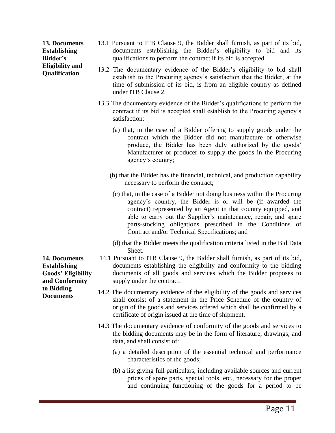**13. Documents Establishing Bidder's Eligibility and Qualification** 

- 13.1 Pursuant to ITB Clause 9, the Bidder shall furnish, as part of its bid, documents establishing the Bidder's eligibility to bid and its qualifications to perform the contract if its bid is accepted.
- 13.2 The documentary evidence of the Bidder's eligibility to bid shall establish to the Procuring agency's satisfaction that the Bidder, at the time of submission of its bid, is from an eligible country as defined under ITB Clause 2.
- 13.3 The documentary evidence of the Bidder's qualifications to perform the contract if its bid is accepted shall establish to the Procuring agency's satisfaction:
	- (a) that, in the case of a Bidder offering to supply goods under the contract which the Bidder did not manufacture or otherwise produce, the Bidder has been duly authorized by the goods' Manufacturer or producer to supply the goods in the Procuring agency's country;
	- (b) that the Bidder has the financial, technical, and production capability necessary to perform the contract;
	- (c) that, in the case of a Bidder not doing business within the Procuring agency's country, the Bidder is or will be (if awarded the contract) represented by an Agent in that country equipped, and able to carry out the Supplier's maintenance, repair, and spare parts-stocking obligations prescribed in the Conditions of Contract and/or Technical Specifications; and
	- (d) that the Bidder meets the qualification criteria listed in the Bid Data Sheet.
- 14.1 Pursuant to ITB Clause 9, the Bidder shall furnish, as part of its bid, documents establishing the eligibility and conformity to the bidding documents of all goods and services which the Bidder proposes to supply under the contract.
- 14.2 The documentary evidence of the eligibility of the goods and services shall consist of a statement in the Price Schedule of the country of origin of the goods and services offered which shall be confirmed by a certificate of origin issued at the time of shipment.
- 14.3 The documentary evidence of conformity of the goods and services to the bidding documents may be in the form of literature, drawings, and data, and shall consist of:
	- (a) a detailed description of the essential technical and performance characteristics of the goods;
	- (b) a list giving full particulars, including available sources and current prices of spare parts, special tools, etc., necessary for the proper and continuing functioning of the goods for a period to be

**14. Documents Establishing Goods' Eligibility and Conformity to Bidding Documents**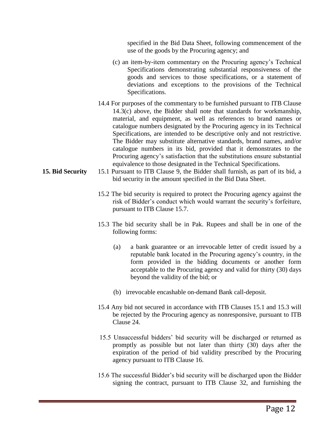specified in the Bid Data Sheet, following commencement of the use of the goods by the Procuring agency; and

- (c) an item-by-item commentary on the Procuring agency's Technical Specifications demonstrating substantial responsiveness of the goods and services to those specifications, or a statement of deviations and exceptions to the provisions of the Technical Specifications.
- 14.4 For purposes of the commentary to be furnished pursuant to ITB Clause 14.3(c) above, the Bidder shall note that standards for workmanship, material, and equipment, as well as references to brand names or catalogue numbers designated by the Procuring agency in its Technical Specifications, are intended to be descriptive only and not restrictive. The Bidder may substitute alternative standards, brand names, and/or catalogue numbers in its bid, provided that it demonstrates to the Procuring agency's satisfaction that the substitutions ensure substantial equivalence to those designated in the Technical Specifications.
- **15. Bid Security** 15.1 Pursuant to ITB Clause 9, the Bidder shall furnish, as part of its bid, a bid security in the amount specified in the Bid Data Sheet.
	- 15.2 The bid security is required to protect the Procuring agency against the risk of Bidder's conduct which would warrant the security's forfeiture, pursuant to ITB Clause 15.7.
	- 15.3 The bid security shall be in Pak. Rupees and shall be in one of the following forms:
		- (a) a bank guarantee or an irrevocable letter of credit issued by a reputable bank located in the Procuring agency's country, in the form provided in the bidding documents or another form acceptable to the Procuring agency and valid for thirty (30) days beyond the validity of the bid; or
		- (b) irrevocable encashable on-demand Bank call-deposit.
	- 15.4 Any bid not secured in accordance with ITB Clauses 15.1 and 15.3 will be rejected by the Procuring agency as nonresponsive, pursuant to ITB Clause 24.
	- 15.5 Unsuccessful bidders' bid security will be discharged or returned as promptly as possible but not later than thirty (30) days after the expiration of the period of bid validity prescribed by the Procuring agency pursuant to ITB Clause 16.
	- 15.6 The successful Bidder's bid security will be discharged upon the Bidder signing the contract, pursuant to ITB Clause 32, and furnishing the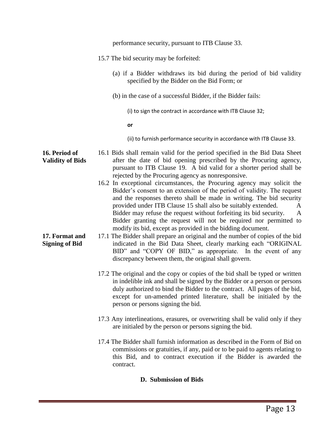|                                          | performance security, pursuant to ITB Clause 33.                                                                                                                                                                                                                                                                                                                                                                                     |  |  |  |
|------------------------------------------|--------------------------------------------------------------------------------------------------------------------------------------------------------------------------------------------------------------------------------------------------------------------------------------------------------------------------------------------------------------------------------------------------------------------------------------|--|--|--|
|                                          | 15.7 The bid security may be forfeited:                                                                                                                                                                                                                                                                                                                                                                                              |  |  |  |
|                                          | (a) if a Bidder withdraws its bid during the period of bid validity<br>specified by the Bidder on the Bid Form; or                                                                                                                                                                                                                                                                                                                   |  |  |  |
|                                          | (b) in the case of a successful Bidder, if the Bidder fails:                                                                                                                                                                                                                                                                                                                                                                         |  |  |  |
|                                          | (i) to sign the contract in accordance with ITB Clause 32;                                                                                                                                                                                                                                                                                                                                                                           |  |  |  |
|                                          | or                                                                                                                                                                                                                                                                                                                                                                                                                                   |  |  |  |
|                                          | (ii) to furnish performance security in accordance with ITB Clause 33.                                                                                                                                                                                                                                                                                                                                                               |  |  |  |
| 16. Period of<br><b>Validity of Bids</b> | 16.1 Bids shall remain valid for the period specified in the Bid Data Sheet<br>after the date of bid opening prescribed by the Procuring agency,<br>pursuant to ITB Clause 19. A bid valid for a shorter period shall be<br>rejected by the Procuring agency as nonresponsive.<br>16.2 In exceptional circumstances, the Procuring agency may solicit the                                                                            |  |  |  |
|                                          | Bidder's consent to an extension of the period of validity. The request<br>and the responses thereto shall be made in writing. The bid security<br>provided under ITB Clause 15 shall also be suitably extended.<br>A<br>Bidder may refuse the request without forfeiting its bid security.<br>A<br>Bidder granting the request will not be required nor permitted to<br>modify its bid, except as provided in the bidding document. |  |  |  |
| 17. Format and<br><b>Signing of Bid</b>  | 17.1 The Bidder shall prepare an original and the number of copies of the bid<br>indicated in the Bid Data Sheet, clearly marking each "ORIGINAL<br>BID" and "COPY OF BID," as appropriate. In the event of any<br>discrepancy between them, the original shall govern.                                                                                                                                                              |  |  |  |
|                                          | 17.2 The original and the copy or copies of the bid shall be typed or written<br>in indelible ink and shall be signed by the Bidder or a person or persons<br>duly authorized to bind the Bidder to the contract. All pages of the bid,<br>except for un-amended printed literature, shall be initialed by the<br>person or persons signing the bid.                                                                                 |  |  |  |
|                                          | 17.3 Any interlineations, erasures, or overwriting shall be valid only if they<br>are initialed by the person or persons signing the bid.                                                                                                                                                                                                                                                                                            |  |  |  |
|                                          | 17.4 The Bidder shall furnish information as described in the Form of Bid on<br>commissions or gratuities, if any, paid or to be paid to agents relating to<br>this Bid, and to contract execution if the Bidder is awarded the<br>contract.                                                                                                                                                                                         |  |  |  |
| D. Cubmission of Dids                    |                                                                                                                                                                                                                                                                                                                                                                                                                                      |  |  |  |

### **D. Submission of Bids**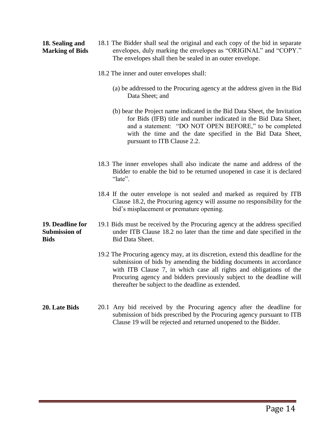### **18. Sealing and Marking of Bids**

- 18.1 The Bidder shall seal the original and each copy of the bid in separate envelopes, duly marking the envelopes as "ORIGINAL" and "COPY." The envelopes shall then be sealed in an outer envelope.
- 18.2 The inner and outer envelopes shall:
	- (a) be addressed to the Procuring agency at the address given in the Bid Data Sheet; and
	- (b) bear the Project name indicated in the Bid Data Sheet, the Invitation for Bids (IFB) title and number indicated in the Bid Data Sheet, and a statement: "DO NOT OPEN BEFORE," to be completed with the time and the date specified in the Bid Data Sheet, pursuant to ITB Clause 2.2.
- 18.3 The inner envelopes shall also indicate the name and address of the Bidder to enable the bid to be returned unopened in case it is declared "late".
- 18.4 If the outer envelope is not sealed and marked as required by ITB Clause 18.2, the Procuring agency will assume no responsibility for the bid's misplacement or premature opening.
- **19. Deadline for Submission of Bids**  19.1 Bids must be received by the Procuring agency at the address specified under ITB Clause 18.2 no later than the time and date specified in the Bid Data Sheet.
	- 19.2 The Procuring agency may, at its discretion, extend this deadline for the submission of bids by amending the bidding documents in accordance with ITB Clause 7, in which case all rights and obligations of the Procuring agency and bidders previously subject to the deadline will thereafter be subject to the deadline as extended.
- **20. Late Bids** 20.1 Any bid received by the Procuring agency after the deadline for submission of bids prescribed by the Procuring agency pursuant to ITB Clause 19 will be rejected and returned unopened to the Bidder.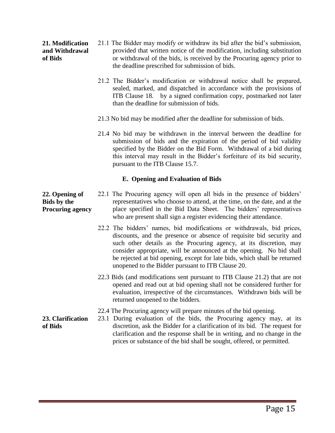### **21. Modification and Withdrawal of Bids**

- 21.1 The Bidder may modify or withdraw its bid after the bid's submission, provided that written notice of the modification, including substitution or withdrawal of the bids, is received by the Procuring agency prior to the deadline prescribed for submission of bids.
- 21.2 The Bidder's modification or withdrawal notice shall be prepared, sealed, marked, and dispatched in accordance with the provisions of ITB Clause 18. by a signed confirmation copy, postmarked not later than the deadline for submission of bids.
- 21.3 No bid may be modified after the deadline for submission of bids.
- 21.4 No bid may be withdrawn in the interval between the deadline for submission of bids and the expiration of the period of bid validity specified by the Bidder on the Bid Form. Withdrawal of a bid during this interval may result in the Bidder's forfeiture of its bid security, pursuant to the ITB Clause 15.7.

### **E. Opening and Evaluation of Bids**

#### **22. Opening of Bids by the Procuring agency**  22.1 The Procuring agency will open all bids in the presence of bidders' representatives who choose to attend, at the time, on the date, and at the place specified in the Bid Data Sheet. The bidders' representatives who are present shall sign a register evidencing their attendance.

- 22.2 The bidders' names, bid modifications or withdrawals, bid prices, discounts, and the presence or absence of requisite bid security and such other details as the Procuring agency, at its discretion, may consider appropriate, will be announced at the opening. No bid shall be rejected at bid opening, except for late bids, which shall be returned unopened to the Bidder pursuant to ITB Clause 20.
- 22.3 Bids (and modifications sent pursuant to ITB Clause 21.2) that are not opened and read out at bid opening shall not be considered further for evaluation, irrespective of the circumstances. Withdrawn bids will be returned unopened to the bidders.
- 22.4 The Procuring agency will prepare minutes of the bid opening.

#### **23. Clarification of Bids**  23.1 During evaluation of the bids, the Procuring agency may, at its discretion, ask the Bidder for a clarification of its bid. The request for clarification and the response shall be in writing, and no change in the prices or substance of the bid shall be sought, offered, or permitted.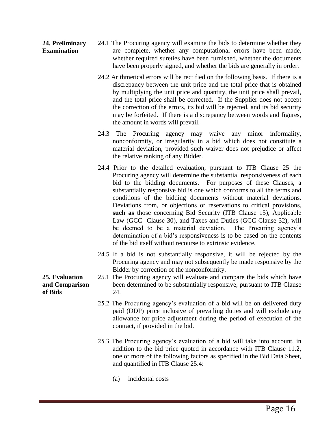#### **24. Preliminary Examination**  24.1 The Procuring agency will examine the bids to determine whether they are complete, whether any computational errors have been made, whether required sureties have been furnished, whether the documents have been properly signed, and whether the bids are generally in order.

- 24.2 Arithmetical errors will be rectified on the following basis. If there is a discrepancy between the unit price and the total price that is obtained by multiplying the unit price and quantity, the unit price shall prevail, and the total price shall be corrected. If the Supplier does not accept the correction of the errors, its bid will be rejected, and its bid security may be forfeited. If there is a discrepancy between words and figures, the amount in words will prevail.
- 24.3 The Procuring agency may waive any minor informality, nonconformity, or irregularity in a bid which does not constitute a material deviation, provided such waiver does not prejudice or affect the relative ranking of any Bidder.
- 24.4 Prior to the detailed evaluation, pursuant to ITB Clause 25 the Procuring agency will determine the substantial responsiveness of each bid to the bidding documents. For purposes of these Clauses, a substantially responsive bid is one which conforms to all the terms and conditions of the bidding documents without material deviations. Deviations from, or objections or reservations to critical provisions, **such as** those concerning Bid Security (ITB Clause 15), Applicable Law (GCC Clause 30), and Taxes and Duties (GCC Clause 32), will be deemed to be a material deviation. The Procuring agency's determination of a bid's responsiveness is to be based on the contents of the bid itself without recourse to extrinsic evidence.
- 24.5 If a bid is not substantially responsive, it will be rejected by the Procuring agency and may not subsequently be made responsive by the Bidder by correction of the nonconformity.
- 25.1 The Procuring agency will evaluate and compare the bids which have been determined to be substantially responsive, pursuant to ITB Clause 24.
- 25.2 The Procuring agency's evaluation of a bid will be on delivered duty paid (DDP) price inclusive of prevailing duties and will exclude any allowance for price adjustment during the period of execution of the contract, if provided in the bid.
- 25.3 The Procuring agency's evaluation of a bid will take into account, in addition to the bid price quoted in accordance with ITB Clause 11.2, one or more of the following factors as specified in the Bid Data Sheet, and quantified in ITB Clause 25.4:
	- (a) incidental costs

### **25. Evaluation and Comparison of Bids**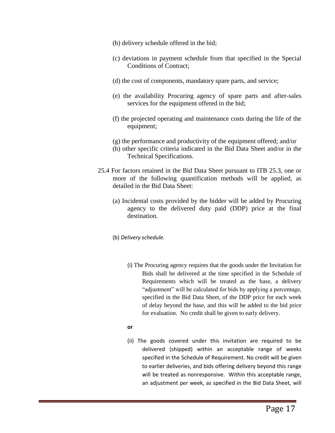- (b) delivery schedule offered in the bid;
- (c) deviations in payment schedule from that specified in the Special Conditions of Contract;
- (d) the cost of components, mandatory spare parts, and service;
- (e) the availability Procuring agency of spare parts and after-sales services for the equipment offered in the bid;
- (f) the projected operating and maintenance costs during the life of the equipment;
- (g) the performance and productivity of the equipment offered; and/or
- (h) other specific criteria indicated in the Bid Data Sheet and/or in the Technical Specifications.
- 25.4 For factors retained in the Bid Data Sheet pursuant to ITB 25.3, one or more of the following quantification methods will be applied, as detailed in the Bid Data Sheet:
	- (a) Incidental costs provided by the bidder will be added by Procuring agency to the delivered duty paid (DDP) price at the final destination.
	- (b) *Delivery schedule.*
		- (i) The Procuring agency requires that the goods under the Invitation for Bids shall be delivered at the time specified in the Schedule of Requirements which will be treated as the base, a delivery "adjustment" will be calculated for bids by applying a percentage, specified in the Bid Data Sheet, of the DDP price for each week of delay beyond the base, and this will be added to the bid price for evaluation. No credit shall be given to early delivery.

### **or**

(ii) The goods covered under this invitation are required to be delivered (shipped) within an acceptable range of weeks specified in the Schedule of Requirement. No credit will be given to earlier deliveries, and bids offering delivery beyond this range will be treated as nonresponsive. Within this acceptable range, an adjustment per week, as specified in the Bid Data Sheet, will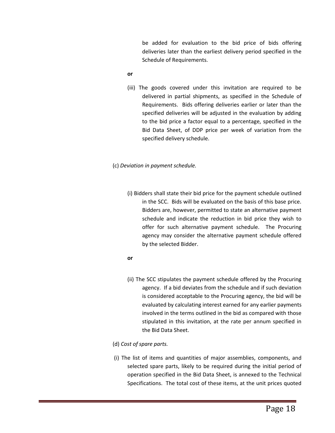be added for evaluation to the bid price of bids offering deliveries later than the earliest delivery period specified in the Schedule of Requirements.

#### **or**

(iii) The goods covered under this invitation are required to be delivered in partial shipments, as specified in the Schedule of Requirements. Bids offering deliveries earlier or later than the specified deliveries will be adjusted in the evaluation by adding to the bid price a factor equal to a percentage, specified in the Bid Data Sheet, of DDP price per week of variation from the specified delivery schedule.

### (c) *Deviation in payment schedule.*

(i) Bidders shall state their bid price for the payment schedule outlined in the SCC. Bids will be evaluated on the basis of this base price. Bidders are, however, permitted to state an alternative payment schedule and indicate the reduction in bid price they wish to offer for such alternative payment schedule. The Procuring agency may consider the alternative payment schedule offered by the selected Bidder.

### **or**

(ii) The SCC stipulates the payment schedule offered by the Procuring agency. If a bid deviates from the schedule and if such deviation is considered acceptable to the Procuring agency, the bid will be evaluated by calculating interest earned for any earlier payments involved in the terms outlined in the bid as compared with those stipulated in this invitation, at the rate per annum specified in the Bid Data Sheet.

### (d) *Cost of spare parts.*

(i) The list of items and quantities of major assemblies, components, and selected spare parts, likely to be required during the initial period of operation specified in the Bid Data Sheet, is annexed to the Technical Specifications. The total cost of these items, at the unit prices quoted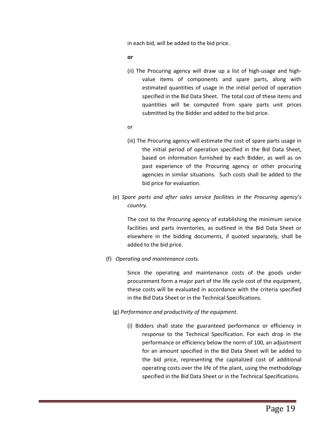in each bid, will be added to the bid price.

**or**

- (ii) The Procuring agency will draw up a list of high-usage and highvalue items of components and spare parts, along with estimated quantities of usage in the initial period of operation specified in the Bid Data Sheet. The total cost of these items and quantities will be computed from spare parts unit prices submitted by the Bidder and added to the bid price.
- or
- (iii) The Procuring agency will estimate the cost of spare parts usage in the initial period of operation specified in the Bid Data Sheet, based on information furnished by each Bidder, as well as on past experience of the Procuring agency or other procuring agencies in similar situations. Such costs shall be added to the bid price for evaluation.
- (e) *Spare parts and after sales service facilities in the Procuring agency's country.*

The cost to the Procuring agency of establishing the minimum service facilities and parts inventories, as outlined in the Bid Data Sheet or elsewhere in the bidding documents, if quoted separately, shall be added to the bid price.

(f) *Operating and maintenance costs.*

Since the operating and maintenance costs of the goods under procurement form a major part of the life cycle cost of the equipment, these costs will be evaluated in accordance with the criteria specified in the Bid Data Sheet or in the Technical Specifications.

- (g) *Performance and productivity of the equipment.*
	- (i) Bidders shall state the guaranteed performance or efficiency in response to the Technical Specification. For each drop in the performance or efficiency below the norm of 100, an adjustment for an amount specified in the Bid Data Sheet will be added to the bid price, representing the capitalized cost of additional operating costs over the life of the plant, using the methodology specified in the Bid Data Sheet or in the Technical Specifications.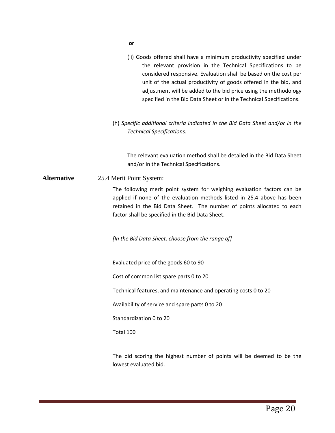- **or**
- (ii) Goods offered shall have a minimum productivity specified under the relevant provision in the Technical Specifications to be considered responsive. Evaluation shall be based on the cost per unit of the actual productivity of goods offered in the bid, and adjustment will be added to the bid price using the methodology specified in the Bid Data Sheet or in the Technical Specifications.
- (h) *Specific additional criteria indicated in the Bid Data Sheet and/or in the Technical Specifications.*

The relevant evaluation method shall be detailed in the Bid Data Sheet and/or in the Technical Specifications.

**Alternative** 25.4 Merit Point System:

The following merit point system for weighing evaluation factors can be applied if none of the evaluation methods listed in 25.4 above has been retained in the Bid Data Sheet. The number of points allocated to each factor shall be specified in the Bid Data Sheet.

*[In the Bid Data Sheet, choose from the range of]*

Evaluated price of the goods 60 to 90

Cost of common list spare parts 0 to 20

Technical features, and maintenance and operating costs 0 to 20

Availability of service and spare parts 0 to 20

Standardization 0 to 20

Total 100

The bid scoring the highest number of points will be deemed to be the lowest evaluated bid.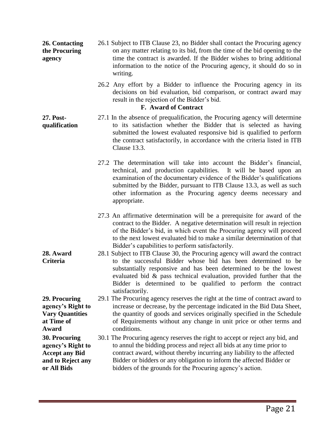- **26. Contacting the Procuring agency**  26.1 Subject to ITB Clause 23, no Bidder shall contact the Procuring agency on any matter relating to its bid, from the time of the bid opening to the time the contract is awarded. If the Bidder wishes to bring additional information to the notice of the Procuring agency, it should do so in writing.
	- 26.2 Any effort by a Bidder to influence the Procuring agency in its decisions on bid evaluation, bid comparison, or contract award may result in the rejection of the Bidder's bid.

### **F. Award of Contract**

**27. Postqualification** 

- 27.1 In the absence of prequalification, the Procuring agency will determine to its satisfaction whether the Bidder that is selected as having submitted the lowest evaluated responsive bid is qualified to perform the contract satisfactorily, in accordance with the criteria listed in ITB Clause 13.3.
	- 27.2 The determination will take into account the Bidder's financial, technical, and production capabilities. It will be based upon an examination of the documentary evidence of the Bidder's qualifications submitted by the Bidder, pursuant to ITB Clause 13.3, as well as such other information as the Procuring agency deems necessary and appropriate.
	- 27.3 An affirmative determination will be a prerequisite for award of the contract to the Bidder. A negative determination will result in rejection of the Bidder's bid, in which event the Procuring agency will proceed to the next lowest evaluated bid to make a similar determination of that Bidder's capabilities to perform satisfactorily.
	- 28.1 Subject to ITB Clause 30, the Procuring agency will award the contract to the successful Bidder whose bid has been determined to be substantially responsive and has been determined to be the lowest evaluated bid & pass technical evaluation, provided further that the Bidder is determined to be qualified to perform the contract satisfactorily.

29.1 The Procuring agency reserves the right at the time of contract award to increase or decrease, by the percentage indicated in the Bid Data Sheet, the quantity of goods and services originally specified in the Schedule of Requirements without any change in unit price or other terms and conditions.

30.1 The Procuring agency reserves the right to accept or reject any bid, and to annul the bidding process and reject all bids at any time prior to contract award, without thereby incurring any liability to the affected Bidder or bidders or any obligation to inform the affected Bidder or bidders of the grounds for the Procuring agency's action.

**29. Procuring agency's Right to Vary Quantities at Time of Award 30. Procuring agency's Right to** 

**28. Award Criteria** 

**Accept any Bid and to Reject any or All Bids**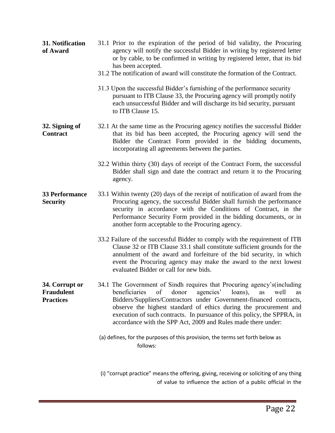- **31. Notification of Award**  31.1 Prior to the expiration of the period of bid validity, the Procuring agency will notify the successful Bidder in writing by registered letter or by cable, to be confirmed in writing by registered letter, that its bid has been accepted.
	- 31.2 The notification of award will constitute the formation of the Contract.
	- 31.3 Upon the successful Bidder's furnishing of the performance security pursuant to ITB Clause 33, the Procuring agency will promptly notify each unsuccessful Bidder and will discharge its bid security, pursuant to ITB Clause 15.
- **32. Signing of Contract**  32.1 At the same time as the Procuring agency notifies the successful Bidder that its bid has been accepted, the Procuring agency will send the Bidder the Contract Form provided in the bidding documents, incorporating all agreements between the parties.
	- 32.2 Within thirty (30) days of receipt of the Contract Form, the successful Bidder shall sign and date the contract and return it to the Procuring agency.
- **33 Performance Security**  33.1 Within twenty (20) days of the receipt of notification of award from the Procuring agency, the successful Bidder shall furnish the performance security in accordance with the Conditions of Contract, in the Performance Security Form provided in the bidding documents, or in another form acceptable to the Procuring agency.
	- 33.2 Failure of the successful Bidder to comply with the requirement of ITB Clause 32 or ITB Clause 33.1 shall constitute sufficient grounds for the annulment of the award and forfeiture of the bid security, in which event the Procuring agency may make the award to the next lowest evaluated Bidder or call for new bids.
- **34. Corrupt or Fraudulent Practices**  34.1 The Government of Sindh requires that Procuring agency's(including beneficiaries of donor agencies' loans), as well as Bidders/Suppliers/Contractors under Government-financed contracts, observe the highest standard of ethics during the procurement and execution of such contracts. In pursuance of this policy, the SPPRA, in accordance with the SPP Act, 2009 and Rules made there under:
	- (a) defines, for the purposes of this provision, the terms set forth below as follows:

 (i) "corrupt practice" means the offering, giving, receiving or soliciting of any thing of value to influence the action of a public official in the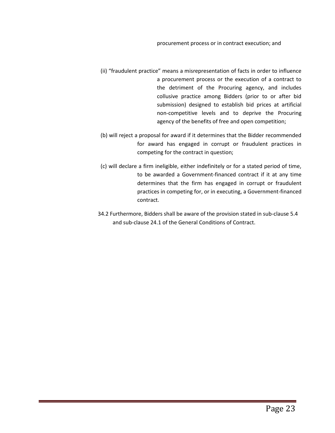- (ii) "fraudulent practice" means a misrepresentation of facts in order to influence a procurement process or the execution of a contract to the detriment of the Procuring agency, and includes collusive practice among Bidders (prior to or after bid submission) designed to establish bid prices at artificial non-competitive levels and to deprive the Procuring agency of the benefits of free and open competition;
- (b) will reject a proposal for award if it determines that the Bidder recommended for award has engaged in corrupt or fraudulent practices in competing for the contract in question;
- (c) will declare a firm ineligible, either indefinitely or for a stated period of time, to be awarded a Government-financed contract if it at any time determines that the firm has engaged in corrupt or fraudulent practices in competing for, or in executing, a Government-financed contract.
- 34.2 Furthermore, Bidders shall be aware of the provision stated in sub-clause 5.4 and sub-clause 24.1 of the General Conditions of Contract.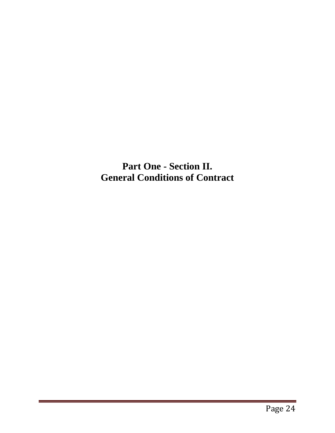**Part One - Section II. General Conditions of Contract**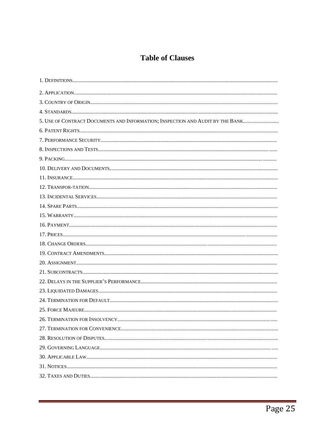### **Table of Clauses**

| 5. USE OF CONTRACT DOCUMENTS AND INFORMATION; INSPECTION AND AUDIT BY THE BANK |
|--------------------------------------------------------------------------------|
|                                                                                |
|                                                                                |
|                                                                                |
|                                                                                |
|                                                                                |
|                                                                                |
|                                                                                |
|                                                                                |
|                                                                                |
|                                                                                |
|                                                                                |
|                                                                                |
|                                                                                |
|                                                                                |
|                                                                                |
|                                                                                |
|                                                                                |
|                                                                                |
|                                                                                |
|                                                                                |
|                                                                                |
|                                                                                |
|                                                                                |
|                                                                                |
|                                                                                |
|                                                                                |
|                                                                                |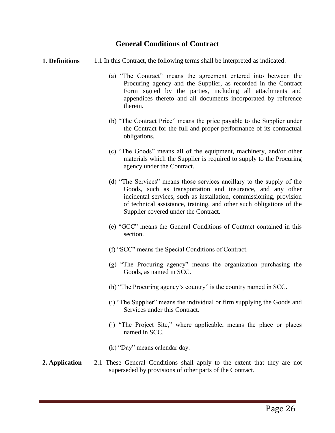### **General Conditions of Contract**

- **1. Definitions** 1.1 In this Contract, the following terms shall be interpreted as indicated:
	- (a) "The Contract" means the agreement entered into between the Procuring agency and the Supplier, as recorded in the Contract Form signed by the parties, including all attachments and appendices thereto and all documents incorporated by reference therein.
	- (b) "The Contract Price" means the price payable to the Supplier under the Contract for the full and proper performance of its contractual obligations.
	- (c) "The Goods" means all of the equipment, machinery, and/or other materials which the Supplier is required to supply to the Procuring agency under the Contract.
	- (d) "The Services" means those services ancillary to the supply of the Goods, such as transportation and insurance, and any other incidental services, such as installation, commissioning, provision of technical assistance, training, and other such obligations of the Supplier covered under the Contract.
	- (e) "GCC" means the General Conditions of Contract contained in this section.
	- (f) "SCC" means the Special Conditions of Contract.
	- (g) "The Procuring agency" means the organization purchasing the Goods, as named in SCC.
	- (h) "The Procuring agency's country" is the country named in SCC.
	- (i) "The Supplier" means the individual or firm supplying the Goods and Services under this Contract.
	- (j) "The Project Site," where applicable, means the place or places named in SCC.
	- (k) "Day" means calendar day.

### **2. Application** 2.1 These General Conditions shall apply to the extent that they are not superseded by provisions of other parts of the Contract.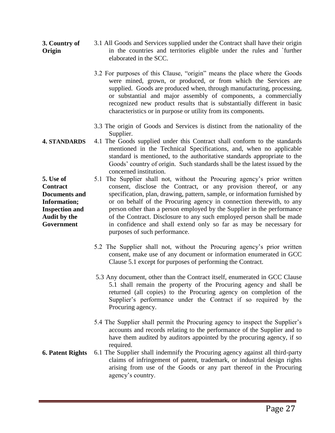- **3. Country of Origin**  3.1 All Goods and Services supplied under the Contract shall have their origin in the countries and territories eligible under the rules and `further elaborated in the SCC.
	- 3.2 For purposes of this Clause, "origin" means the place where the Goods were mined, grown, or produced, or from which the Services are supplied. Goods are produced when, through manufacturing, processing, or substantial and major assembly of components, a commercially recognized new product results that is substantially different in basic characteristics or in purpose or utility from its components.
	- 3.3 The origin of Goods and Services is distinct from the nationality of the Supplier.
- **4. STANDARDS** 4.1 The Goods supplied under this Contract shall conform to the standards mentioned in the Technical Specifications, and, when no applicable standard is mentioned, to the authoritative standards appropriate to the Goods' country of origin. Such standards shall be the latest issued by the concerned institution.
	- 5.1 The Supplier shall not, without the Procuring agency's prior written consent, disclose the Contract, or any provision thereof, or any specification, plan, drawing, pattern, sample, or information furnished by or on behalf of the Procuring agency in connection therewith, to any person other than a person employed by the Supplier in the performance of the Contract. Disclosure to any such employed person shall be made in confidence and shall extend only so far as may be necessary for purposes of such performance.
		- 5.2 The Supplier shall not, without the Procuring agency's prior written consent, make use of any document or information enumerated in GCC Clause 5.1 except for purposes of performing the Contract.
		- 5.3 Any document, other than the Contract itself, enumerated in GCC Clause 5.1 shall remain the property of the Procuring agency and shall be returned (all copies) to the Procuring agency on completion of the Supplier's performance under the Contract if so required by the Procuring agency.
		- 5.4 The Supplier shall permit the Procuring agency to inspect the Supplier's accounts and records relating to the performance of the Supplier and to have them audited by auditors appointed by the procuring agency, if so required.
- **6. Patent Rights** 6.1 The Supplier shall indemnify the Procuring agency against all third-party claims of infringement of patent, trademark, or industrial design rights arising from use of the Goods or any part thereof in the Procuring agency's country.

**5. Use of Contract Documents and Information; Inspection and Audit by the Government**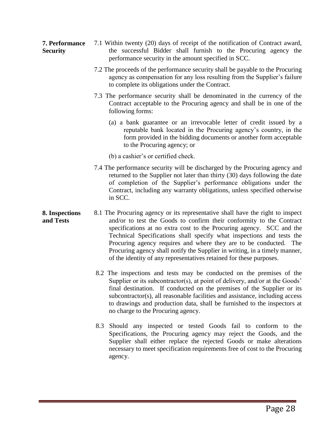- **7. Performance Security**  7.1 Within twenty (20) days of receipt of the notification of Contract award, the successful Bidder shall furnish to the Procuring agency the performance security in the amount specified in SCC.
	- 7.2 The proceeds of the performance security shall be payable to the Procuring agency as compensation for any loss resulting from the Supplier's failure to complete its obligations under the Contract.
	- 7.3 The performance security shall be denominated in the currency of the Contract acceptable to the Procuring agency and shall be in one of the following forms:
		- (a) a bank guarantee or an irrevocable letter of credit issued by a reputable bank located in the Procuring agency's country, in the form provided in the bidding documents or another form acceptable to the Procuring agency; or
		- (b) a cashier's or certified check.
	- 7.4 The performance security will be discharged by the Procuring agency and returned to the Supplier not later than thirty (30) days following the date of completion of the Supplier's performance obligations under the Contract, including any warranty obligations, unless specified otherwise in SCC.
- **8. Inspections and Tests**  8.1 The Procuring agency or its representative shall have the right to inspect and/or to test the Goods to confirm their conformity to the Contract specifications at no extra cost to the Procuring agency. SCC and the Technical Specifications shall specify what inspections and tests the Procuring agency requires and where they are to be conducted. The Procuring agency shall notify the Supplier in writing, in a timely manner, of the identity of any representatives retained for these purposes.
	- 8.2 The inspections and tests may be conducted on the premises of the Supplier or its subcontractor(s), at point of delivery, and/or at the Goods' final destination. If conducted on the premises of the Supplier or its subcontractor(s), all reasonable facilities and assistance, including access to drawings and production data, shall be furnished to the inspectors at no charge to the Procuring agency.
	- 8.3 Should any inspected or tested Goods fail to conform to the Specifications, the Procuring agency may reject the Goods, and the Supplier shall either replace the rejected Goods or make alterations necessary to meet specification requirements free of cost to the Procuring agency.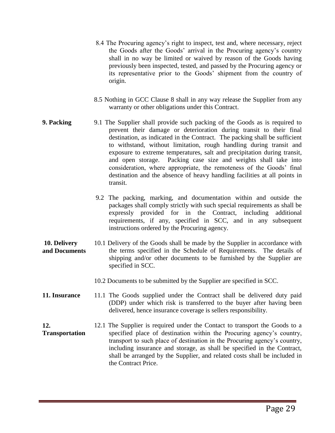- 8.4 The Procuring agency's right to inspect, test and, where necessary, reject the Goods after the Goods' arrival in the Procuring agency's country shall in no way be limited or waived by reason of the Goods having previously been inspected, tested, and passed by the Procuring agency or its representative prior to the Goods' shipment from the country of origin.
- 8.5 Nothing in GCC Clause 8 shall in any way release the Supplier from any warranty or other obligations under this Contract.
- **9. Packing** 9.1 The Supplier shall provide such packing of the Goods as is required to prevent their damage or deterioration during transit to their final destination, as indicated in the Contract. The packing shall be sufficient to withstand, without limitation, rough handling during transit and exposure to extreme temperatures, salt and precipitation during transit, and open storage. Packing case size and weights shall take into consideration, where appropriate, the remoteness of the Goods' final destination and the absence of heavy handling facilities at all points in transit.
	- 9.2 The packing, marking, and documentation within and outside the packages shall comply strictly with such special requirements as shall be expressly provided for in the Contract, including additional requirements, if any, specified in SCC, and in any subsequent instructions ordered by the Procuring agency.
- **10. Delivery and Documents**  10.1 Delivery of the Goods shall be made by the Supplier in accordance with the terms specified in the Schedule of Requirements. The details of shipping and/or other documents to be furnished by the Supplier are specified in SCC.
	- 10.2 Documents to be submitted by the Supplier are specified in SCC.
- **11. Insurance** 11.1 The Goods supplied under the Contract shall be delivered duty paid (DDP) under which risk is transferred to the buyer after having been delivered, hence insurance coverage is sellers responsibility.
- **12. Transportation**  12.1 The Supplier is required under the Contact to transport the Goods to a specified place of destination within the Procuring agency's country, transport to such place of destination in the Procuring agency's country, including insurance and storage, as shall be specified in the Contract, shall be arranged by the Supplier, and related costs shall be included in the Contract Price.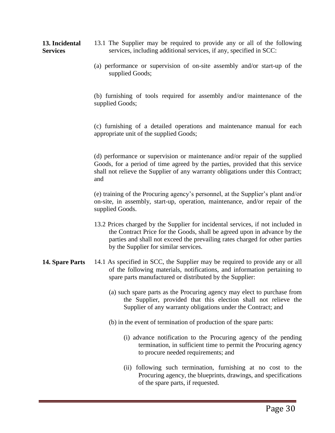**13. Incidental Services**  13.1 The Supplier may be required to provide any or all of the following services, including additional services, if any, specified in SCC:

> (a) performance or supervision of on-site assembly and/or start-up of the supplied Goods;

> (b) furnishing of tools required for assembly and/or maintenance of the supplied Goods;

> (c) furnishing of a detailed operations and maintenance manual for each appropriate unit of the supplied Goods;

> (d) performance or supervision or maintenance and/or repair of the supplied Goods, for a period of time agreed by the parties, provided that this service shall not relieve the Supplier of any warranty obligations under this Contract; and

> (e) training of the Procuring agency's personnel, at the Supplier's plant and/or on-site, in assembly, start-up, operation, maintenance, and/or repair of the supplied Goods.

- 13.2 Prices charged by the Supplier for incidental services, if not included in the Contract Price for the Goods, shall be agreed upon in advance by the parties and shall not exceed the prevailing rates charged for other parties by the Supplier for similar services.
- **14. Spare Parts** 14.1 As specified in SCC, the Supplier may be required to provide any or all of the following materials, notifications, and information pertaining to spare parts manufactured or distributed by the Supplier:
	- (a) such spare parts as the Procuring agency may elect to purchase from the Supplier, provided that this election shall not relieve the Supplier of any warranty obligations under the Contract; and
	- (b) in the event of termination of production of the spare parts:
		- (i) advance notification to the Procuring agency of the pending termination, in sufficient time to permit the Procuring agency to procure needed requirements; and
		- (ii) following such termination, furnishing at no cost to the Procuring agency, the blueprints, drawings, and specifications of the spare parts, if requested.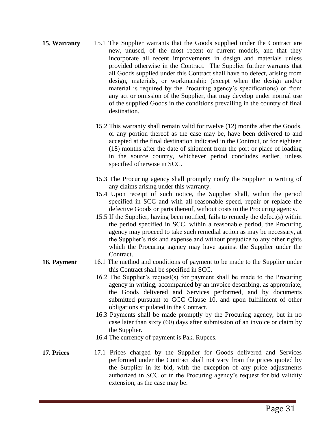- **15. Warranty** 15.1 The Supplier warrants that the Goods supplied under the Contract are new, unused, of the most recent or current models, and that they incorporate all recent improvements in design and materials unless provided otherwise in the Contract. The Supplier further warrants that all Goods supplied under this Contract shall have no defect, arising from design, materials, or workmanship (except when the design and/or material is required by the Procuring agency's specifications) or from any act or omission of the Supplier, that may develop under normal use of the supplied Goods in the conditions prevailing in the country of final destination.
	- 15.2 This warranty shall remain valid for twelve (12) months after the Goods, or any portion thereof as the case may be, have been delivered to and accepted at the final destination indicated in the Contract, or for eighteen (18) months after the date of shipment from the port or place of loading in the source country, whichever period concludes earlier, unless specified otherwise in SCC.
	- 15.3 The Procuring agency shall promptly notify the Supplier in writing of any claims arising under this warranty.
	- 15.4 Upon receipt of such notice, the Supplier shall, within the period specified in SCC and with all reasonable speed, repair or replace the defective Goods or parts thereof, without costs to the Procuring agency.
	- 15.5 If the Supplier, having been notified, fails to remedy the defect(s) within the period specified in SCC, within a reasonable period, the Procuring agency may proceed to take such remedial action as may be necessary, at the Supplier's risk and expense and without prejudice to any other rights which the Procuring agency may have against the Supplier under the Contract.
- **16. Payment** 16.1 The method and conditions of payment to be made to the Supplier under this Contract shall be specified in SCC.
	- 16.2 The Supplier's request(s) for payment shall be made to the Procuring agency in writing, accompanied by an invoice describing, as appropriate, the Goods delivered and Services performed, and by documents submitted pursuant to GCC Clause 10, and upon fulfillment of other obligations stipulated in the Contract.
	- 16.3 Payments shall be made promptly by the Procuring agency, but in no case later than sixty (60) days after submission of an invoice or claim by the Supplier.
	- 16.4 The currency of payment is Pak. Rupees.
- **17. Prices** 17.1 Prices charged by the Supplier for Goods delivered and Services performed under the Contract shall not vary from the prices quoted by the Supplier in its bid, with the exception of any price adjustments authorized in SCC or in the Procuring agency's request for bid validity extension, as the case may be.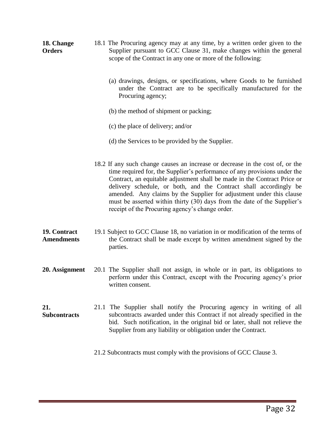- **18. Change Orders**  18.1 The Procuring agency may at any time, by a written order given to the Supplier pursuant to GCC Clause 31, make changes within the general scope of the Contract in any one or more of the following:
	- (a) drawings, designs, or specifications, where Goods to be furnished under the Contract are to be specifically manufactured for the Procuring agency;
	- (b) the method of shipment or packing;
	- (c) the place of delivery; and/or
	- (d) the Services to be provided by the Supplier.
	- 18.2 If any such change causes an increase or decrease in the cost of, or the time required for, the Supplier's performance of any provisions under the Contract, an equitable adjustment shall be made in the Contract Price or delivery schedule, or both, and the Contract shall accordingly be amended. Any claims by the Supplier for adjustment under this clause must be asserted within thirty (30) days from the date of the Supplier's receipt of the Procuring agency's change order.

#### **19. Contract Amendments**  19.1 Subject to GCC Clause 18, no variation in or modification of the terms of the Contract shall be made except by written amendment signed by the parties.

- **20. Assignment** 20.1 The Supplier shall not assign, in whole or in part, its obligations to perform under this Contract, except with the Procuring agency's prior written consent.
- **21. Subcontracts**  21.1 The Supplier shall notify the Procuring agency in writing of all subcontracts awarded under this Contract if not already specified in the bid. Such notification, in the original bid or later, shall not relieve the Supplier from any liability or obligation under the Contract.

21.2 Subcontracts must comply with the provisions of GCC Clause 3.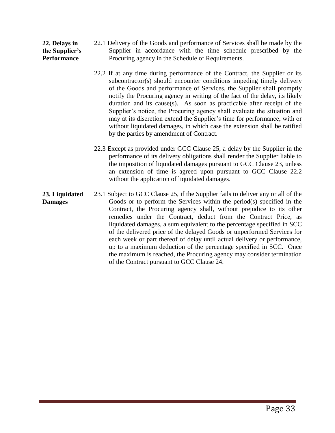#### **22. Delays in the Supplier's Performance**  22.1 Delivery of the Goods and performance of Services shall be made by the Supplier in accordance with the time schedule prescribed by the Procuring agency in the Schedule of Requirements.

- 22.2 If at any time during performance of the Contract, the Supplier or its subcontractor(s) should encounter conditions impeding timely delivery of the Goods and performance of Services, the Supplier shall promptly notify the Procuring agency in writing of the fact of the delay, its likely duration and its cause(s). As soon as practicable after receipt of the Supplier's notice, the Procuring agency shall evaluate the situation and may at its discretion extend the Supplier's time for performance, with or without liquidated damages, in which case the extension shall be ratified by the parties by amendment of Contract.
- 22.3 Except as provided under GCC Clause 25, a delay by the Supplier in the performance of its delivery obligations shall render the Supplier liable to the imposition of liquidated damages pursuant to GCC Clause 23, unless an extension of time is agreed upon pursuant to GCC Clause 22.2 without the application of liquidated damages.
- **23. Liquidated Damages**  23.1 Subject to GCC Clause 25, if the Supplier fails to deliver any or all of the Goods or to perform the Services within the period(s) specified in the Contract, the Procuring agency shall, without prejudice to its other remedies under the Contract, deduct from the Contract Price, as liquidated damages, a sum equivalent to the percentage specified in SCC of the delivered price of the delayed Goods or unperformed Services for each week or part thereof of delay until actual delivery or performance, up to a maximum deduction of the percentage specified in SCC. Once the maximum is reached, the Procuring agency may consider termination of the Contract pursuant to GCC Clause 24.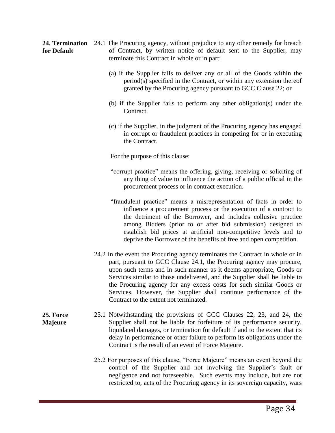24. Termination 24.1 The Procuring agency, without prejudice to any other remedy for breach **for Default**  of Contract, by written notice of default sent to the Supplier, may terminate this Contract in whole or in part:

- (a) if the Supplier fails to deliver any or all of the Goods within the period(s) specified in the Contract, or within any extension thereof granted by the Procuring agency pursuant to GCC Clause 22; or
- (b) if the Supplier fails to perform any other obligation(s) under the Contract.
- (c) if the Supplier, in the judgment of the Procuring agency has engaged in corrupt or fraudulent practices in competing for or in executing the Contract.

For the purpose of this clause:

- "corrupt practice" means the offering, giving, receiving or soliciting of any thing of value to influence the action of a public official in the procurement process or in contract execution.
- "fraudulent practice" means a misrepresentation of facts in order to influence a procurement process or the execution of a contract to the detriment of the Borrower, and includes collusive practice among Bidders (prior to or after bid submission) designed to establish bid prices at artificial non-competitive levels and to deprive the Borrower of the benefits of free and open competition.
- 24.2 In the event the Procuring agency terminates the Contract in whole or in part, pursuant to GCC Clause 24.1, the Procuring agency may procure, upon such terms and in such manner as it deems appropriate, Goods or Services similar to those undelivered, and the Supplier shall be liable to the Procuring agency for any excess costs for such similar Goods or Services. However, the Supplier shall continue performance of the Contract to the extent not terminated.
- **25. Force Majeure**  25.1 Notwithstanding the provisions of GCC Clauses 22, 23, and 24, the Supplier shall not be liable for forfeiture of its performance security, liquidated damages, or termination for default if and to the extent that its delay in performance or other failure to perform its obligations under the Contract is the result of an event of Force Majeure.
	- 25.2 For purposes of this clause, "Force Majeure" means an event beyond the control of the Supplier and not involving the Supplier's fault or negligence and not foreseeable. Such events may include, but are not restricted to, acts of the Procuring agency in its sovereign capacity, wars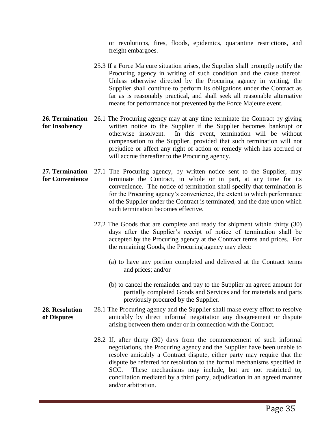or revolutions, fires, floods, epidemics, quarantine restrictions, and freight embargoes.

- 25.3 If a Force Majeure situation arises, the Supplier shall promptly notify the Procuring agency in writing of such condition and the cause thereof. Unless otherwise directed by the Procuring agency in writing, the Supplier shall continue to perform its obligations under the Contract as far as is reasonably practical, and shall seek all reasonable alternative means for performance not prevented by the Force Majeure event.
- **26. Termination for Insolvency**  26.1 The Procuring agency may at any time terminate the Contract by giving written notice to the Supplier if the Supplier becomes bankrupt or otherwise insolvent. In this event, termination will be without compensation to the Supplier, provided that such termination will not prejudice or affect any right of action or remedy which has accrued or will accrue thereafter to the Procuring agency.
- 27. Termination 27.1 The Procuring agency, by written notice sent to the Supplier, may **for Convenience**  terminate the Contract, in whole or in part, at any time for its convenience. The notice of termination shall specify that termination is for the Procuring agency's convenience, the extent to which performance of the Supplier under the Contract is terminated, and the date upon which such termination becomes effective.
	- 27.2 The Goods that are complete and ready for shipment within thirty (30) days after the Supplier's receipt of notice of termination shall be accepted by the Procuring agency at the Contract terms and prices. For the remaining Goods, the Procuring agency may elect:
		- (a) to have any portion completed and delivered at the Contract terms and prices; and/or
		- (b) to cancel the remainder and pay to the Supplier an agreed amount for partially completed Goods and Services and for materials and parts previously procured by the Supplier.
- **28. Resolution of Disputes**  28.1 The Procuring agency and the Supplier shall make every effort to resolve amicably by direct informal negotiation any disagreement or dispute arising between them under or in connection with the Contract.
	- 28.2 If, after thirty (30) days from the commencement of such informal negotiations, the Procuring agency and the Supplier have been unable to resolve amicably a Contract dispute, either party may require that the dispute be referred for resolution to the formal mechanisms specified in SCC. These mechanisms may include, but are not restricted to, conciliation mediated by a third party, adjudication in an agreed manner and/or arbitration.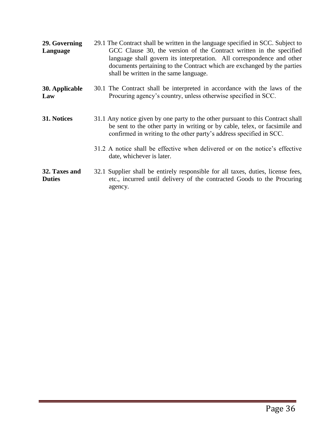| 29. Governing<br>Language      | 29.1 The Contract shall be written in the language specified in SCC. Subject to<br>GCC Clause 30, the version of the Contract written in the specified<br>language shall govern its interpretation. All correspondence and other<br>documents pertaining to the Contract which are exchanged by the parties<br>shall be written in the same language. |
|--------------------------------|-------------------------------------------------------------------------------------------------------------------------------------------------------------------------------------------------------------------------------------------------------------------------------------------------------------------------------------------------------|
| 30. Applicable<br>Law          | 30.1 The Contract shall be interpreted in accordance with the laws of the<br>Procuring agency's country, unless otherwise specified in SCC.                                                                                                                                                                                                           |
| 31. Notices                    | 31.1 Any notice given by one party to the other pursuant to this Contract shall<br>be sent to the other party in writing or by cable, telex, or facsimile and<br>confirmed in writing to the other party's address specified in SCC.                                                                                                                  |
|                                | 31.2 A notice shall be effective when delivered or on the notice's effective<br>date, whichever is later.                                                                                                                                                                                                                                             |
| 32. Taxes and<br><b>Duties</b> | 32.1 Supplier shall be entirely responsible for all taxes, duties, license fees,<br>etc., incurred until delivery of the contracted Goods to the Procuring<br>agency.                                                                                                                                                                                 |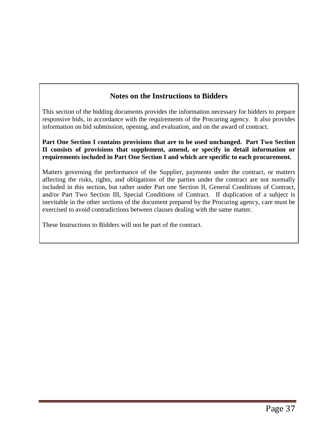### **Notes on the Instructions to Bidders**

This section of the bidding documents provides the information necessary for bidders to prepare responsive bids, in accordance with the requirements of the Procuring agency. It also provides information on bid submission, opening, and evaluation, and on the award of contract.

**Part One Section I contains provisions that are to be used unchanged. Part Two Section II consists of provisions that supplement, amend, or specify in detail information or requirements included in Part One Section I and which are specific to each procurement.**

Matters governing the performance of the Supplier, payments under the contract, or matters affecting the risks, rights, and obligations of the parties under the contract are not normally included in this section, but rather under Part one Section II, General Conditions of Contract, and/or Part Two Section III, Special Conditions of Contract. If duplication of a subject is inevitable in the other sections of the document prepared by the Procuring agency, care must be exercised to avoid contradictions between clauses dealing with the same matter.

These Instructions to Bidders will not be part of the contract.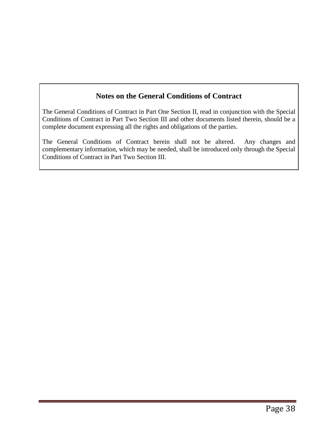### **Notes on the General Conditions of Contract**

The General Conditions of Contract in Part One Section II, read in conjunction with the Special Conditions of Contract in Part Two Section III and other documents listed therein, should be a complete document expressing all the rights and obligations of the parties.

The General Conditions of Contract herein shall not be altered. Any changes and complementary information, which may be needed, shall be introduced only through the Special Conditions of Contract in Part Two Section III.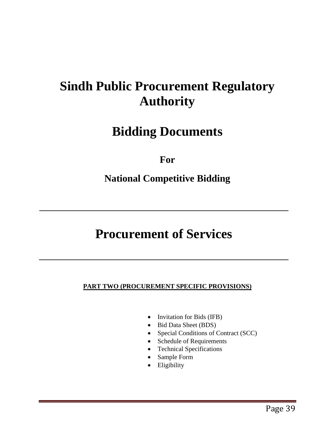# **Sindh Public Procurement Regulatory Authority**

# **Bidding Documents**

**For**

# **National Competitive Bidding**

# **Procurement of Services**

### **PART TWO (PROCUREMENT SPECIFIC PROVISIONS)**

- Invitation for Bids (IFB)
- Bid Data Sheet (BDS)
- Special Conditions of Contract (SCC)
- Schedule of Requirements
- Technical Specifications
- Sample Form
- Eligibility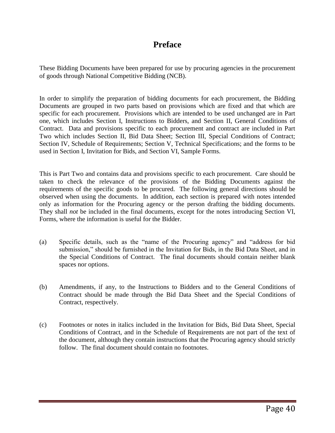### **Preface**

These Bidding Documents have been prepared for use by procuring agencies in the procurement of goods through National Competitive Bidding (NCB).

In order to simplify the preparation of bidding documents for each procurement, the Bidding Documents are grouped in two parts based on provisions which are fixed and that which are specific for each procurement. Provisions which are intended to be used unchanged are in Part one, which includes Section I, Instructions to Bidders, and Section II, General Conditions of Contract. Data and provisions specific to each procurement and contract are included in Part Two which includes Section II, Bid Data Sheet; Section III, Special Conditions of Contract; Section IV, Schedule of Requirements; Section V, Technical Specifications; and the forms to be used in Section I, Invitation for Bids, and Section VI, Sample Forms.

This is Part Two and contains data and provisions specific to each procurement. Care should be taken to check the relevance of the provisions of the Bidding Documents against the requirements of the specific goods to be procured. The following general directions should be observed when using the documents. In addition, each section is prepared with notes intended only as information for the Procuring agency or the person drafting the bidding documents. They shall *not* be included in the final documents, except for the notes introducing Section VI, Forms, where the information is useful for the Bidder.

- (a) Specific details, such as the "name of the Procuring agency" and "address for bid submission," should be furnished in the Invitation for Bids, in the Bid Data Sheet, and in the Special Conditions of Contract. The final documents should contain neither blank spaces nor options.
- (b) Amendments, if any, to the Instructions to Bidders and to the General Conditions of Contract should be made through the Bid Data Sheet and the Special Conditions of Contract, respectively.
- (c) Footnotes or notes in italics included in the Invitation for Bids, Bid Data Sheet, Special Conditions of Contract, and in the Schedule of Requirements are not part of the text of the document, although they contain instructions that the Procuring agency should strictly follow. The final document should contain no footnotes.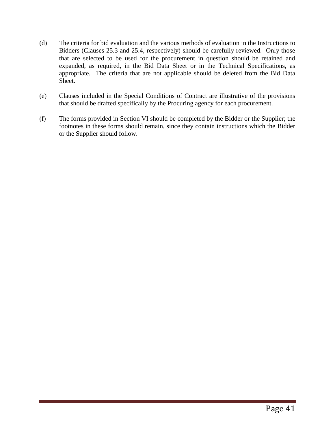- (d) The criteria for bid evaluation and the various methods of evaluation in the Instructions to Bidders (Clauses 25.3 and 25.4, respectively) should be carefully reviewed. Only those that are selected to be used for the procurement in question should be retained and expanded, as required, in the Bid Data Sheet or in the Technical Specifications, as appropriate. The criteria that are not applicable should be deleted from the Bid Data Sheet.
- (e) Clauses included in the Special Conditions of Contract are illustrative of the provisions that should be drafted specifically by the Procuring agency for each procurement.
- (f) The forms provided in Section VI should be completed by the Bidder or the Supplier; the footnotes in these forms should remain, since they contain instructions which the Bidder or the Supplier should follow.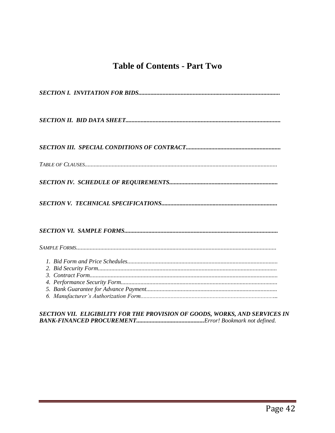### **Table of Contents - Part Two**

### SECTION VII. ELIGIBILITY FOR THE PROVISION OF GOODS, WORKS, AND SERVICES IN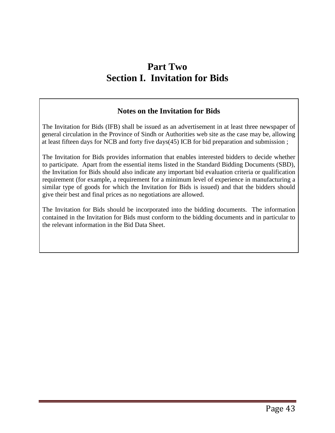# **Part Two Section I. Invitation for Bids**

### **Notes on the Invitation for Bids**

The Invitation for Bids (IFB) shall be issued as an advertisement in at least three newspaper of general circulation in the Province of Sindh or Authorities web site as the case may be, allowing at least fifteen days for NCB and forty five days(45) ICB for bid preparation and submission ;

The Invitation for Bids provides information that enables interested bidders to decide whether to participate. Apart from the essential items listed in the Standard Bidding Documents (SBD), the Invitation for Bids should also indicate any important bid evaluation criteria or qualification requirement (for example, a requirement for a minimum level of experience in manufacturing a similar type of goods for which the Invitation for Bids is issued) and that the bidders should give their best and final prices as no negotiations are allowed.

The Invitation for Bids should be incorporated into the bidding documents. The information contained in the Invitation for Bids must conform to the bidding documents and in particular to the relevant information in the Bid Data Sheet.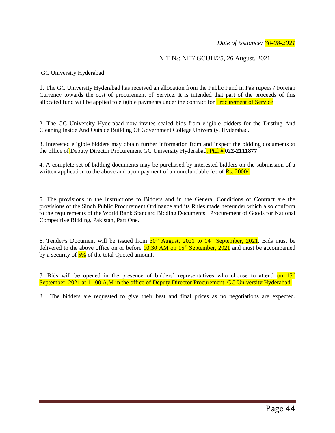### NIT No: NIT/ GCUH/25, 26 August, 2021

GC University Hyderabad

1. The GC University Hyderabad has received an allocation from the Public Fund in Pak rupees / Foreign Currency towards the cost of procurement of Service. It is intended that part of the proceeds of this allocated fund will be applied to eligible payments under the contract for Procurement of Service

2. The GC University Hyderabad now invites sealed bids from eligible bidders for the Dusting And Cleaning Inside And Outside Building Of Government College University, Hyderabad.

3. Interested eligible bidders may obtain further information from and inspect the bidding documents at the office of Deputy Director Procurement GC University Hyderabad. Ptcl # **022-2111877**

4. A complete set of bidding documents may be purchased by interested bidders on the submission of a written application to the above and upon payment of a nonrefundable fee of **Rs. 2000/-**

5. The provisions in the Instructions to Bidders and in the General Conditions of Contract are the provisions of the Sindh Public Procurement Ordinance and its Rules made hereunder which also conform to the requirements of the World Bank Standard Bidding Documents: Procurement of Goods for National Competitive Bidding, Pakistan, Part One.

6. Tender/s Document will be issued from  $30<sup>th</sup>$  August, 2021 to  $14<sup>th</sup>$  September, 2021. Bids must be delivered to the above office on or before  $10:30$  AM on  $15<sup>th</sup>$  September,  $2021$  and must be accompanied by a security of  $\frac{5\%}{2}$  of the total Quoted amount.

7. Bids will be opened in the presence of bidders' representatives who choose to attend on  $15<sup>th</sup>$ September, 2021 at 11.00 A.M in the office of Deputy Director Procurement, GC University Hyderabad.

8. The bidders are requested to give their best and final prices as no negotiations are expected.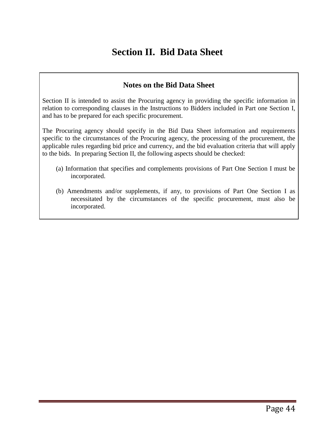# **Section II. Bid Data Sheet**

### **Notes on the Bid Data Sheet**

Section II is intended to assist the Procuring agency in providing the specific information in relation to corresponding clauses in the Instructions to Bidders included in Part one Section I, and has to be prepared for each specific procurement.

The Procuring agency should specify in the Bid Data Sheet information and requirements specific to the circumstances of the Procuring agency, the processing of the procurement, the applicable rules regarding bid price and currency, and the bid evaluation criteria that will apply to the bids. In preparing Section II, the following aspects should be checked:

- (a) Information that specifies and complements provisions of Part One Section I must be incorporated.
- (b) Amendments and/or supplements, if any, to provisions of Part One Section I as necessitated by the circumstances of the specific procurement, must also be incorporated.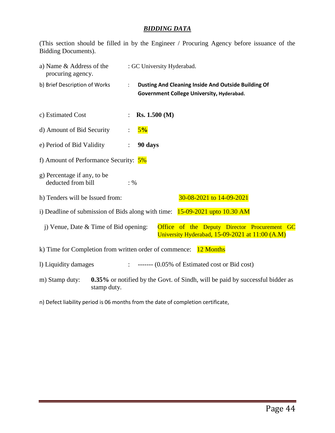### *BIDDING DATA*

(This section should be filled in by the Engineer / Procuring Agency before issuance of the Bidding Documents).

| a) Name & Address of the<br>procuring agency.                                   |             |                 | : GC University Hyderabad. |                                                                                                  |                                                                                                     |
|---------------------------------------------------------------------------------|-------------|-----------------|----------------------------|--------------------------------------------------------------------------------------------------|-----------------------------------------------------------------------------------------------------|
| b) Brief Description of Works                                                   | ÷           |                 |                            | Dusting And Cleaning Inside And Outside Building Of<br>Government College University, Hyderabad. |                                                                                                     |
| c) Estimated Cost                                                               |             |                 | Rs. 1.500 (M)              |                                                                                                  |                                                                                                     |
| d) Amount of Bid Security                                                       |             |                 | 5%                         |                                                                                                  |                                                                                                     |
| e) Period of Bid Validity                                                       |             |                 | 90 days                    |                                                                                                  |                                                                                                     |
| f) Amount of Performance Security: $5\%$                                        |             |                 |                            |                                                                                                  |                                                                                                     |
| g) Percentage if any, to be<br>deducted from bill                               |             | $: \frac{0}{0}$ |                            |                                                                                                  |                                                                                                     |
| h) Tenders will be Issued from:                                                 |             |                 |                            | 30-08-2021 to 14-09-2021                                                                         |                                                                                                     |
| i) Deadline of submission of Bids along with time: $15-09-2021$ upto $10.30$ AM |             |                 |                            |                                                                                                  |                                                                                                     |
| $i)$ Venue, Date & Time of Bid opening:                                         |             |                 |                            |                                                                                                  | Office of the Deputy Director Procurement GC<br>University Hyderabad, $15-09-2021$ at $11:00$ (A.M) |
| k) Time for Completion from written order of commence:                          |             |                 |                            | 12 Months                                                                                        |                                                                                                     |
| 1) Liquidity damages                                                            |             |                 |                            | $\therefore$ ------- (0.05% of Estimated cost or Bid cost)                                       |                                                                                                     |
| m) Stamp duty:                                                                  | stamp duty. |                 |                            |                                                                                                  | <b>0.35%</b> or notified by the Govt. of Sindh, will be paid by successful bidder as                |

n) Defect liability period is 06 months from the date of completion certificate,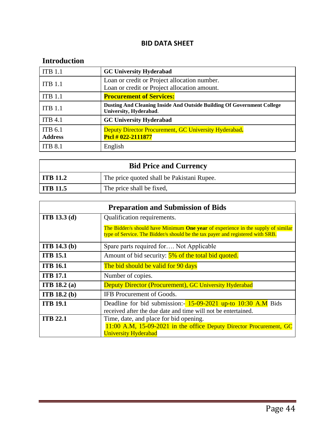### **BID DATA SHEET**

### **Introduction**

| <b>ITB 1.1</b>     | <b>GC University Hyderabad</b>                                                                   |
|--------------------|--------------------------------------------------------------------------------------------------|
| <b>ITB 1.1</b>     | Loan or credit or Project allocation number.                                                     |
|                    | Loan or credit or Project allocation amount.                                                     |
| ITB <sub>1.1</sub> | <b>Procurement of Services:</b>                                                                  |
| <b>ITB 1.1</b>     | Dusting And Cleaning Inside And Outside Building Of Government College<br>University, Hyderabad. |
| <b>ITB 4.1</b>     | <b>GC University Hyderabad</b>                                                                   |
| <b>ITB 6.1</b>     | Deputy Director Procurement, GC University Hyderabad.                                            |
| <b>Address</b>     | Ptcl # 022-2111877                                                                               |
| <b>ITB 8.1</b>     | English                                                                                          |

| <b>Bid Price and Currency</b> |                                            |  |  |  |
|-------------------------------|--------------------------------------------|--|--|--|
| $\vert$ ITB 11.2              | The price quoted shall be Pakistani Rupee. |  |  |  |
| ITB 11.5                      | The price shall be fixed,                  |  |  |  |

|                     | <b>Preparation and Submission of Bids</b>                                                                                                                          |  |  |  |
|---------------------|--------------------------------------------------------------------------------------------------------------------------------------------------------------------|--|--|--|
| <b>ITB</b> 13.3 (d) | Qualification requirements.                                                                                                                                        |  |  |  |
|                     | The Bidder/s should have Minimum One year of experience in the supply of similar<br>type of Service. The Bidder/s should be the tax payer and registered with SRB. |  |  |  |
| <b>ITB</b> 14.3 (b) | Spare parts required for Not Applicable                                                                                                                            |  |  |  |
| <b>ITB 15.1</b>     | Amount of bid security: 5% of the total bid quoted.                                                                                                                |  |  |  |
| <b>ITB 16.1</b>     | The bid should be valid for 90 days                                                                                                                                |  |  |  |
| <b>ITB 17.1</b>     | Number of copies.                                                                                                                                                  |  |  |  |
| <b>ITB</b> 18.2 (a) | <b>Deputy Director (Procurement), GC University Hyderabad</b>                                                                                                      |  |  |  |
| <b>ITB</b> 18.2 (b) | IFB Procurement of Goods.                                                                                                                                          |  |  |  |
| <b>ITB 19.1</b>     | Deadline for bid submission: - 15-09-2021 up-to 10:30 A.M Bids<br>received after the due date and time will not be entertained.                                    |  |  |  |
| <b>ITB 22.1</b>     | Time, date, and place for bid opening.                                                                                                                             |  |  |  |
|                     | 11:00 A.M, 15-09-2021 in the office Deputy Director Procurement, GC<br><b>University Hyderabad</b>                                                                 |  |  |  |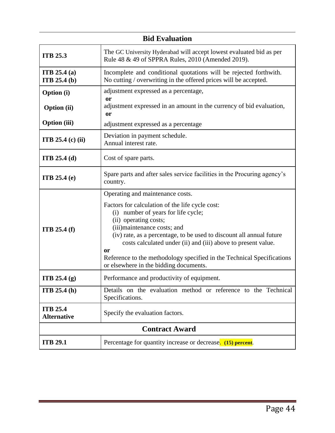| <b>Bid Evaluation</b>                                                                                                |                                                                                                                                                                                                                                                                                                                                                                                                                          |  |  |  |  |  |
|----------------------------------------------------------------------------------------------------------------------|--------------------------------------------------------------------------------------------------------------------------------------------------------------------------------------------------------------------------------------------------------------------------------------------------------------------------------------------------------------------------------------------------------------------------|--|--|--|--|--|
| <b>ITB 25.3</b>                                                                                                      | The GC University Hyderabad will accept lowest evaluated bid as per<br>Rule 48 & 49 of SPPRA Rules, 2010 (Amended 2019).                                                                                                                                                                                                                                                                                                 |  |  |  |  |  |
| <b>ITB</b> 25.4 (a)<br><b>ITB</b> 25.4 $(b)$                                                                         | Incomplete and conditional quotations will be rejected forthwith.<br>No cutting / overwriting in the offered prices will be accepted.                                                                                                                                                                                                                                                                                    |  |  |  |  |  |
| <b>Option</b> (i)                                                                                                    | adjustment expressed as a percentage,                                                                                                                                                                                                                                                                                                                                                                                    |  |  |  |  |  |
| <b>or</b><br>adjustment expressed in an amount in the currency of bid evaluation,<br><b>Option</b> (ii)<br><b>or</b> |                                                                                                                                                                                                                                                                                                                                                                                                                          |  |  |  |  |  |
| <b>Option</b> (iii)                                                                                                  | adjustment expressed as a percentage                                                                                                                                                                                                                                                                                                                                                                                     |  |  |  |  |  |
| Deviation in payment schedule.<br><b>ITB</b> 25.4 (c) (ii)<br>Annual interest rate.                                  |                                                                                                                                                                                                                                                                                                                                                                                                                          |  |  |  |  |  |
| <b>ITB</b> 25.4 (d)                                                                                                  | Cost of spare parts.                                                                                                                                                                                                                                                                                                                                                                                                     |  |  |  |  |  |
| <b>ITB</b> 25.4 $(e)$                                                                                                | Spare parts and after sales service facilities in the Procuring agency's<br>country.                                                                                                                                                                                                                                                                                                                                     |  |  |  |  |  |
|                                                                                                                      | Operating and maintenance costs.                                                                                                                                                                                                                                                                                                                                                                                         |  |  |  |  |  |
| <b>ITB</b> 25.4 $(f)$                                                                                                | Factors for calculation of the life cycle cost:<br>(i) number of years for life cycle;<br>(ii) operating costs;<br>(iii)maintenance costs; and<br>(iv) rate, as a percentage, to be used to discount all annual future<br>costs calculated under (ii) and (iii) above to present value.<br><b>or</b><br>Reference to the methodology specified in the Technical Specifications<br>or elsewhere in the bidding documents. |  |  |  |  |  |
| ITB 25.4 (g)                                                                                                         | Performance and productivity of equipment.                                                                                                                                                                                                                                                                                                                                                                               |  |  |  |  |  |
| <b>ITB</b> 25.4 $(h)$                                                                                                | Details on the evaluation method or reference to the Technical<br>Specifications.                                                                                                                                                                                                                                                                                                                                        |  |  |  |  |  |
| <b>ITB 25.4</b><br><b>Alternative</b>                                                                                | Specify the evaluation factors.                                                                                                                                                                                                                                                                                                                                                                                          |  |  |  |  |  |
| <b>Contract Award</b>                                                                                                |                                                                                                                                                                                                                                                                                                                                                                                                                          |  |  |  |  |  |
| <b>ITB 29.1</b>                                                                                                      | Percentage for quantity increase or decrease. (15) percent.                                                                                                                                                                                                                                                                                                                                                              |  |  |  |  |  |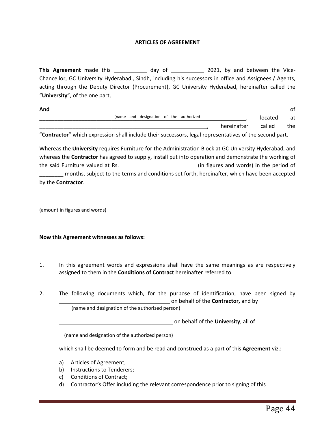### **ARTICLES OF AGREEMENT**

This Agreement made this \_\_\_\_\_\_\_\_\_\_\_\_ day of \_\_\_\_\_\_\_\_\_\_\_\_ 2021, by and between the Vice-Chancellor, GC University Hyderabad., Sindh, including his successors in office and Assignees / Agents, acting through the Deputy Director (Procurement), GC University Hyderabad, hereinafter called the "**University**", of the one part,

| And |                                                                                                         |                                         |  |  |             |         | οt   |
|-----|---------------------------------------------------------------------------------------------------------|-----------------------------------------|--|--|-------------|---------|------|
|     |                                                                                                         | (name and designation of the authorized |  |  |             | located | at   |
|     |                                                                                                         |                                         |  |  | hereinafter | called  | the. |
|     | "Contractor" which expression shall include their successors, legal representatives of the second part. |                                         |  |  |             |         |      |

Whereas the **University** requires Furniture for the Administration Block at GC University Hyderabad, and whereas the **Contractor** has agreed to supply, install put into operation and demonstrate the working of the said Furniture valued at Rs. \_\_\_\_\_\_\_\_\_\_\_\_\_\_\_\_\_\_\_\_\_\_\_\_\_ (in figures and words) in the period of \_\_\_\_\_\_\_\_ months, subject to the terms and conditions set forth, hereinafter, which have been accepted by the **Contractor**.

(amount in figures and words)

#### **Now this Agreement witnesses as follows:**

- 1. In this agreement words and expressions shall have the same meanings as are respectively assigned to them in the **Conditions of Contract** hereinafter referred to.
- 2. The following documents which, for the purpose of identification, have been signed by \_\_\_\_\_\_\_\_\_\_\_\_\_\_\_\_\_\_\_\_\_\_\_\_\_\_\_\_\_\_\_\_\_\_\_\_\_ on behalf of the **Contractor,** and by

(name and designation of the authorized person)

\_\_\_\_\_\_\_\_\_\_\_\_\_\_\_\_\_\_\_\_\_\_\_\_\_\_\_\_\_\_\_\_\_\_\_\_\_\_ on behalf of the **University**, all of

(name and designation of the authorized person)

which shall be deemed to form and be read and construed as a part of this **Agreement** viz.:

- a) Articles of Agreement;
- b) Instructions to Tenderers;
- c) Conditions of Contract;
- d) Contractor's Offer including the relevant correspondence prior to signing of this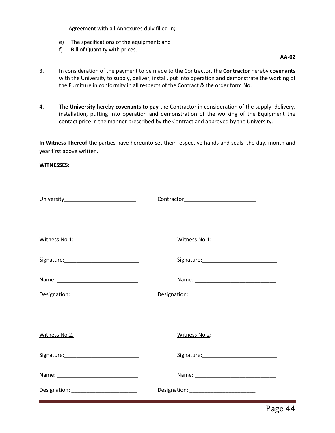Agreement with all Annexures duly filled in;

- e) The specifications of the equipment; and
- f) Bill of Quantity with prices.

**AA-02**

- 3. In consideration of the payment to be made to the Contractor, the **Contractor** hereby **covenants** with the University to supply, deliver, install, put into operation and demonstrate the working of the Furniture in conformity in all respects of the Contract & the order form No. \_\_\_\_\_.
- 4. The **University** hereby **covenants to pay** the Contractor in consideration of the supply, delivery, installation, putting into operation and demonstration of the working of the Equipment the contact price in the manner prescribed by the Contract and approved by the University.

**In Witness Thereof** the parties have hereunto set their respective hands and seals, the day, month and year first above written.

#### **WITNESSES:**

| Witness No.1: | Witness No.1:                              |
|---------------|--------------------------------------------|
|               |                                            |
|               |                                            |
|               | Designation: _____________________________ |
|               |                                            |
| Witness No.2. | Witness No.2:                              |
|               |                                            |
|               |                                            |
|               | Designation: _____________________________ |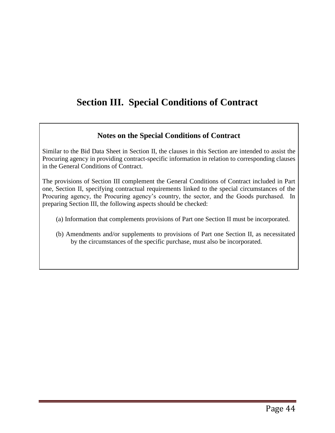# **Section III. Special Conditions of Contract**

### **Notes on the Special Conditions of Contract**

Similar to the Bid Data Sheet in Section II, the clauses in this Section are intended to assist the Procuring agency in providing contract-specific information in relation to corresponding clauses in the General Conditions of Contract.

The provisions of Section III complement the General Conditions of Contract included in Part one, Section II, specifying contractual requirements linked to the special circumstances of the Procuring agency, the Procuring agency's country, the sector, and the Goods purchased. In preparing Section III, the following aspects should be checked:

- (a) Information that complements provisions of Part one Section II must be incorporated.
- (b) Amendments and/or supplements to provisions of Part one Section II, as necessitated by the circumstances of the specific purchase, must also be incorporated.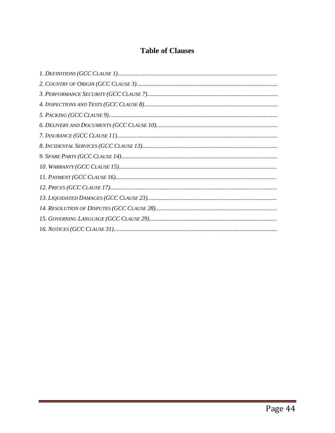## **Table of Clauses**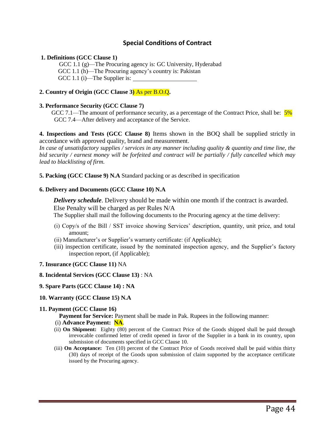### **Special Conditions of Contract**

### **1. Definitions (GCC Clause 1)**

GCC 1.1 (g)—The Procuring agency is: GC University, Hyderabad GCC 1.1 (h)—The Procuring agency's country is: Pakistan GCC 1.1 (i)—The Supplier is:

### **2. Country of Origin (GCC Clause 3)** As per B.O.Q**.**

### **3. Performance Security (GCC Clause 7)**

GCC 7.1—The amount of performance security, as a percentage of the Contract Price, shall be:  $\frac{5\%}{ }$ GCC 7.4—After delivery and acceptance of the Service.

**4. Inspections and Tests (GCC Clause 8)** Items shown in the BOQ shall be supplied strictly in accordance with approved quality, brand and measurement.

*In case of unsatisfactory supplies / services in any manner including quality & quantity and time line, the bid security / earnest money will be forfeited and contract will be partially / fully cancelled which may lead to blacklisting of firm.*

**5. Packing (GCC Clause 9) N.A** Standard packing or as described in specification

### **6. Delivery and Documents (GCC Clause 10) N.A**

**Delivery schedule**. Delivery should be made within one month if the contract is awarded. Else Penalty will be charged as per Rules N/A

The Supplier shall mail the following documents to the Procuring agency at the time delivery:

- (i) Copy/s of the Bill / SST invoice showing Services' description, quantity, unit price, and total amount;
- (ii) Manufacturer's or Supplier's warranty certificate: (if Applicable);
- (iii) inspection certificate, issued by the nominated inspection agency, and the Supplier's factory inspection report, (if Applicable);
- **7. Insurance (GCC Clause 11)** NA
- **8. Incidental Services (GCC Clause 13)** : NA
- **9. Spare Parts (GCC Clause 14) : NA**
- **10. Warranty (GCC Clause 15) N.A**

### **11. Payment (GCC Clause 16)**

- **Payment for Service:** Payment shall be made in Pak. Rupees in the following manner:
- (i) **Advance Payment: NA**.
- (ii) **On Shipment:** Eighty (80) percent of the Contract Price of the Goods shipped shall be paid through irrevocable confirmed letter of credit opened in favor of the Supplier in a bank in its country, upon submission of documents specified in GCC Clause 10.
- (iii) **On Acceptance:** Ten (10) percent of the Contract Price of Goods received shall be paid within thirty (30) days of receipt of the Goods upon submission of claim supported by the acceptance certificate issued by the Procuring agency.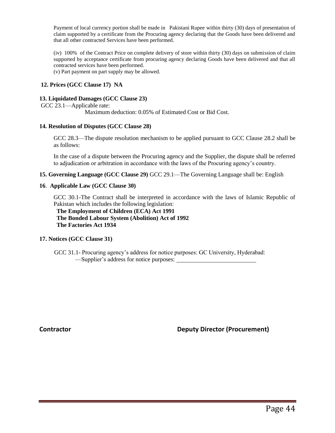Payment of local currency portion shall be made in Pakistani Rupee within thirty (30) days of presentation of claim supported by a certificate from the Procuring agency declaring that the Goods have been delivered and that all other contracted Services have been performed.

(iv) 100% of the Contract Price on complete delivery of store within thirty (30) days on submission of claim supported by acceptance certificate from procuring agency declaring Goods have been delivered and that all contracted services have been performed.

(v) Part payment on part supply may be allowed.

### **12. Prices (GCC Clause 17) NA**

#### **13. Liquidated Damages (GCC Clause 23)**

GCC 23.1—Applicable rate:

Maximum deduction: 0.05% of Estimated Cost or Bid Cost.

### **14. Resolution of Disputes (GCC Clause 28)**

GCC 28.3—The dispute resolution mechanism to be applied pursuant to GCC Clause 28.2 shall be as follows:

In the case of a dispute between the Procuring agency and the Supplier, the dispute shall be referred to adjudication or arbitration in accordance with the laws of the Procuring agency's country.

**15. Governing Language (GCC Clause 29)** GCC 29.1—The Governing Language shall be: English

#### **16**. **Applicable Law (GCC Clause 30)**

GCC 30.1-The Contract shall be interpreted in accordance with the laws of Islamic Republic of Pakistan which includes the following legislation:

 **The Employment of Children (ECA) Act 1991 The Bonded Labour System (Abolition) Act of 1992 The Factories Act 1934** 

### **17. Notices (GCC Clause 31)**

GCC 31.1- Procuring agency's address for notice purposes: GC University, Hyderabad: —Supplier's address for notice purposes:

**Contractor Contractor Contractor Contractor Contractor Contractor (Procurement)**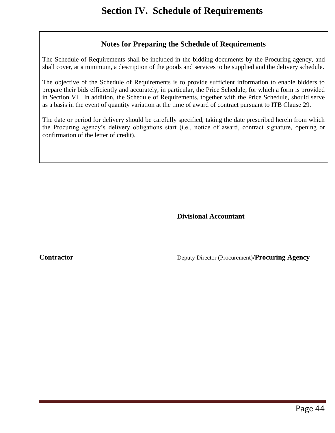### **Notes for Preparing the Schedule of Requirements**

The Schedule of Requirements shall be included in the bidding documents by the Procuring agency, and shall cover, at a minimum, a description of the goods and services to be supplied and the delivery schedule.

The objective of the Schedule of Requirements is to provide sufficient information to enable bidders to prepare their bids efficiently and accurately, in particular, the Price Schedule, for which a form is provided in Section VI. In addition, the Schedule of Requirements, together with the Price Schedule, should serve as a basis in the event of quantity variation at the time of award of contract pursuant to ITB Clause 29.

The date or period for delivery should be carefully specified, taking the date prescribed herein from which the Procuring agency's delivery obligations start (i.e., notice of award, contract signature, opening or confirmation of the letter of credit).

**Divisional Accountant**

**Contractor Contractor Deputy Director (Procurement)/Procuring Agency**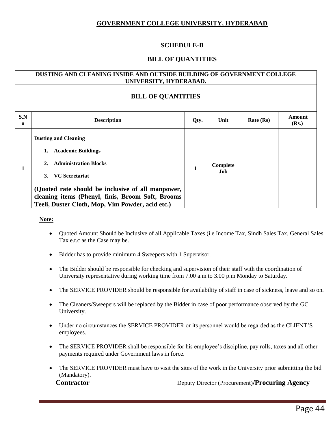### **GOVERNMENT COLLEGE UNIVERSITY, HYDERABAD**

### **SCHEDULE-B**

### **BILL OF QUANTITIES**

### **DUSTING AND CLEANING INSIDE AND OUTSIDE BUILDING OF GOVERNMENT COLLEGE UNIVERSITY, HYDERABAD.**

### **BILL OF QUANTITIES**

| S.N<br>$\Omega$ | <b>Description</b>                                                                                                                                                                                                                                                                      | Qty. | Unit            | Rate (Rs) | Amount<br>(Rs.) |
|-----------------|-----------------------------------------------------------------------------------------------------------------------------------------------------------------------------------------------------------------------------------------------------------------------------------------|------|-----------------|-----------|-----------------|
|                 | <b>Dusting and Cleaning</b><br><b>Academic Buildings</b><br>1.<br>2. Administration Blocks<br><b>VC</b> Secretariat<br>3.<br>(Quoted rate should be inclusive of all manpower,<br>cleaning items (Phenyl, finis, Broom Soft, Brooms<br>Teeli, Duster Cloth, Mop, Vim Powder, acid etc.) | 1    | Complete<br>Job |           |                 |

### **Note:**

- Quoted Amount Should be Inclusive of all Applicable Taxes (i.e Income Tax, Sindh Sales Tax, General Sales Tax e.t.c as the Case may be.
- Bidder has to provide minimum 4 Sweepers with 1 Supervisor.
- The Bidder should be responsible for checking and supervision of their staff with the coordination of University representative during working time from 7.00 a.m to 3.00 p.m Monday to Saturday.
- The SERVICE PROVIDER should be responsible for availability of staff in case of sickness, leave and so on.
- The Cleaners/Sweepers will be replaced by the Bidder in case of poor performance observed by the GC University.
- Under no circumstances the SERVICE PROVIDER or its personnel would be regarded as the CLIENT'S employees.
- The SERVICE PROVIDER shall be responsible for his employee's discipline, pay rolls, taxes and all other payments required under Government laws in force.
- The SERVICE PROVIDER must have to visit the sites of the work in the University prior submitting the bid (Mandatory).

**Contractor Contractor Deputy Director (Procurement)/Procuring Agency**